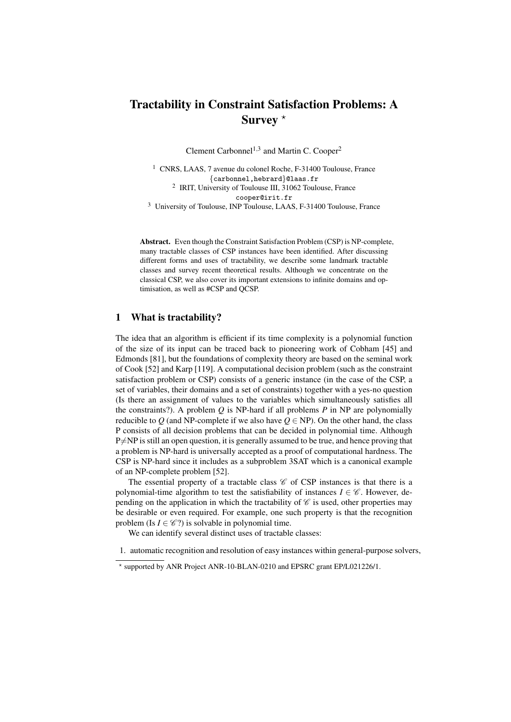# Tractability in Constraint Satisfaction Problems: A Survey  $*$

Clement Carbonnel<sup>1,3</sup> and Martin C. Cooper<sup>2</sup>

<sup>1</sup> CNRS, LAAS, 7 avenue du colonel Roche, F-31400 Toulouse, France {carbonnel,hebrard}@laas.fr <sup>2</sup> IRIT, University of Toulouse III, 31062 Toulouse, France cooper@irit.fr

<sup>3</sup> University of Toulouse, INP Toulouse, LAAS, F-31400 Toulouse, France

Abstract. Even though the Constraint Satisfaction Problem (CSP) is NP-complete, many tractable classes of CSP instances have been identified. After discussing different forms and uses of tractability, we describe some landmark tractable classes and survey recent theoretical results. Although we concentrate on the classical CSP, we also cover its important extensions to infinite domains and optimisation, as well as #CSP and QCSP.

# 1 What is tractability?

The idea that an algorithm is efficient if its time complexity is a polynomial function of the size of its input can be traced back to pioneering work of Cobham [45] and Edmonds [81], but the foundations of complexity theory are based on the seminal work of Cook [52] and Karp [119]. A computational decision problem (such as the constraint satisfaction problem or CSP) consists of a generic instance (in the case of the CSP, a set of variables, their domains and a set of constraints) together with a yes-no question (Is there an assignment of values to the variables which simultaneously satisfies all the constraints?). A problem *Q* is NP-hard if all problems *P* in NP are polynomially reducible to *Q* (and NP-complete if we also have  $Q \in NP$ ). On the other hand, the class P consists of all decision problems that can be decided in polynomial time. Although  $P\neq NP$  is still an open question, it is generally assumed to be true, and hence proving that a problem is NP-hard is universally accepted as a proof of computational hardness. The CSP is NP-hard since it includes as a subproblem 3SAT which is a canonical example of an NP-complete problem [52].

The essential property of a tractable class  $\mathscr C$  of CSP instances is that there is a polynomial-time algorithm to test the satisfiability of instances  $I \in \mathscr{C}$ . However, depending on the application in which the tractability of  $\mathscr C$  is used, other properties may be desirable or even required. For example, one such property is that the recognition problem (Is  $I \in \mathcal{C}$ ?) is solvable in polynomial time.

We can identify several distinct uses of tractable classes:

1. automatic recognition and resolution of easy instances within general-purpose solvers,

<sup>?</sup> supported by ANR Project ANR-10-BLAN-0210 and EPSRC grant EP/L021226/1.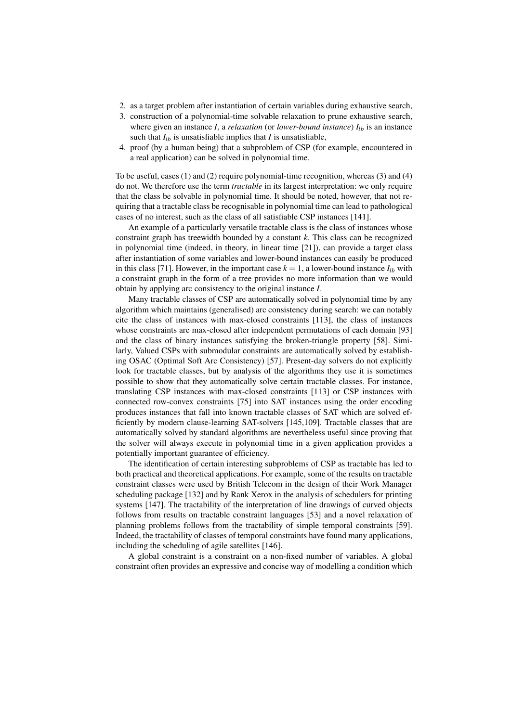- 2. as a target problem after instantiation of certain variables during exhaustive search,
- 3. construction of a polynomial-time solvable relaxation to prune exhaustive search, where given an instance *I*, a *relaxation* (or *lower-bound instance*)  $I_{lb}$  is an instance such that  $I_{lb}$  is unsatisfiable implies that *I* is unsatisfiable,
- 4. proof (by a human being) that a subproblem of CSP (for example, encountered in a real application) can be solved in polynomial time.

To be useful, cases (1) and (2) require polynomial-time recognition, whereas (3) and (4) do not. We therefore use the term *tractable* in its largest interpretation: we only require that the class be solvable in polynomial time. It should be noted, however, that not requiring that a tractable class be recognisable in polynomial time can lead to pathological cases of no interest, such as the class of all satisfiable CSP instances [141].

An example of a particularly versatile tractable class is the class of instances whose constraint graph has treewidth bounded by a constant *k*. This class can be recognized in polynomial time (indeed, in theory, in linear time [21]), can provide a target class after instantiation of some variables and lower-bound instances can easily be produced in this class [71]. However, in the important case  $k = 1$ , a lower-bound instance  $I_{1b}$  with a constraint graph in the form of a tree provides no more information than we would obtain by applying arc consistency to the original instance *I*.

Many tractable classes of CSP are automatically solved in polynomial time by any algorithm which maintains (generalised) arc consistency during search: we can notably cite the class of instances with max-closed constraints [113], the class of instances whose constraints are max-closed after independent permutations of each domain [93] and the class of binary instances satisfying the broken-triangle property [58]. Similarly, Valued CSPs with submodular constraints are automatically solved by establishing OSAC (Optimal Soft Arc Consistency) [57]. Present-day solvers do not explicitly look for tractable classes, but by analysis of the algorithms they use it is sometimes possible to show that they automatically solve certain tractable classes. For instance, translating CSP instances with max-closed constraints [113] or CSP instances with connected row-convex constraints [75] into SAT instances using the order encoding produces instances that fall into known tractable classes of SAT which are solved efficiently by modern clause-learning SAT-solvers [145,109]. Tractable classes that are automatically solved by standard algorithms are nevertheless useful since proving that the solver will always execute in polynomial time in a given application provides a potentially important guarantee of efficiency.

The identification of certain interesting subproblems of CSP as tractable has led to both practical and theoretical applications. For example, some of the results on tractable constraint classes were used by British Telecom in the design of their Work Manager scheduling package [132] and by Rank Xerox in the analysis of schedulers for printing systems [147]. The tractability of the interpretation of line drawings of curved objects follows from results on tractable constraint languages [53] and a novel relaxation of planning problems follows from the tractability of simple temporal constraints [59]. Indeed, the tractability of classes of temporal constraints have found many applications, including the scheduling of agile satellites [146].

A global constraint is a constraint on a non-fixed number of variables. A global constraint often provides an expressive and concise way of modelling a condition which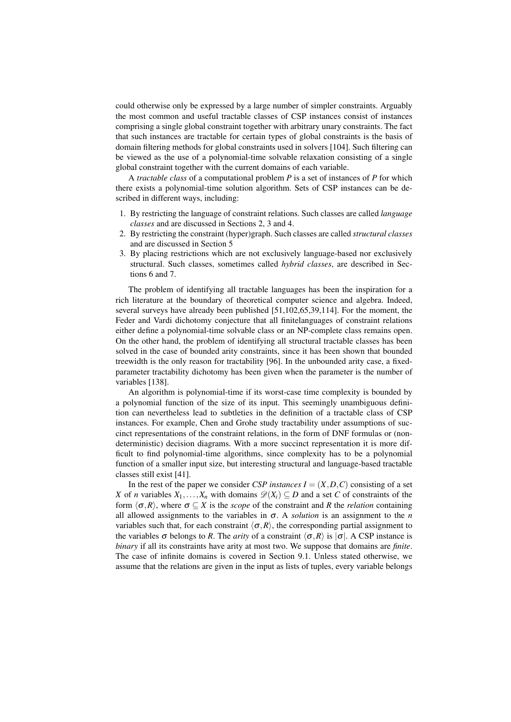could otherwise only be expressed by a large number of simpler constraints. Arguably the most common and useful tractable classes of CSP instances consist of instances comprising a single global constraint together with arbitrary unary constraints. The fact that such instances are tractable for certain types of global constraints is the basis of domain filtering methods for global constraints used in solvers [104]. Such filtering can be viewed as the use of a polynomial-time solvable relaxation consisting of a single global constraint together with the current domains of each variable.

A *tractable class* of a computational problem *P* is a set of instances of *P* for which there exists a polynomial-time solution algorithm. Sets of CSP instances can be described in different ways, including:

- 1. By restricting the language of constraint relations. Such classes are called *language classes* and are discussed in Sections 2, 3 and 4.
- 2. By restricting the constraint (hyper)graph. Such classes are called *structural classes* and are discussed in Section 5
- 3. By placing restrictions which are not exclusively language-based nor exclusively structural. Such classes, sometimes called *hybrid classes*, are described in Sections 6 and 7.

The problem of identifying all tractable languages has been the inspiration for a rich literature at the boundary of theoretical computer science and algebra. Indeed, several surveys have already been published [51,102,65,39,114]. For the moment, the Feder and Vardi dichotomy conjecture that all finitelanguages of constraint relations either define a polynomial-time solvable class or an NP-complete class remains open. On the other hand, the problem of identifying all structural tractable classes has been solved in the case of bounded arity constraints, since it has been shown that bounded treewidth is the only reason for tractability [96]. In the unbounded arity case, a fixedparameter tractability dichotomy has been given when the parameter is the number of variables [138].

An algorithm is polynomial-time if its worst-case time complexity is bounded by a polynomial function of the size of its input. This seemingly unambiguous definition can nevertheless lead to subtleties in the definition of a tractable class of CSP instances. For example, Chen and Grohe study tractability under assumptions of succinct representations of the constraint relations, in the form of DNF formulas or (nondeterministic) decision diagrams. With a more succinct representation it is more difficult to find polynomial-time algorithms, since complexity has to be a polynomial function of a smaller input size, but interesting structural and language-based tractable classes still exist [41].

In the rest of the paper we consider *CSP instances*  $I = (X, D, C)$  consisting of a set *X* of *n* variables  $X_1, \ldots, X_n$  with domains  $\mathscr{D}(X_i) \subseteq D$  and a set *C* of constraints of the form  $\langle \sigma, R \rangle$ , where  $\sigma \subseteq X$  is the *scope* of the constraint and *R* the *relation* containing all allowed assignments to the variables in  $\sigma$ . A *solution* is an assignment to the *n* variables such that, for each constraint  $\langle \sigma, R \rangle$ , the corresponding partial assignment to the variables  $\sigma$  belongs to *R*. The *arity* of a constraint  $\langle \sigma, R \rangle$  is  $|\sigma|$ . A CSP instance is *binary* if all its constraints have arity at most two. We suppose that domains are *finite*. The case of infinite domains is covered in Section 9.1. Unless stated otherwise, we assume that the relations are given in the input as lists of tuples, every variable belongs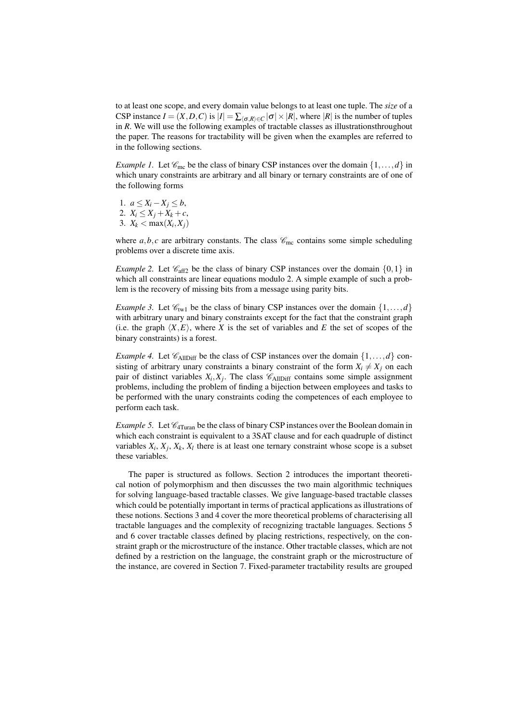to at least one scope, and every domain value belongs to at least one tuple. The *size* of a CSP instance  $I = (X, D, C)$  is  $|I| = \sum_{\sigma, R \in C} |\sigma| \times |R|$ , where  $|R|$  is the number of tuples in *R*. We will use the following examples of tractable classes as illustrationsthroughout the paper. The reasons for tractability will be given when the examples are referred to in the following sections.

*Example 1.* Let  $\mathcal{C}_{\text{mc}}$  be the class of binary CSP instances over the domain  $\{1,\ldots,d\}$  in which unary constraints are arbitrary and all binary or ternary constraints are of one of the following forms

1. *a* ≤ *X*<sub>*i*</sub> − *X*<sub>*j*</sub> ≤ *b*, 2.  $X_i \leq X_j + X_k + c$ , 3.  $X_k < \max(X_i, X_j)$ 

where  $a, b, c$  are arbitrary constants. The class  $\mathcal{C}_{\text{mc}}$  contains some simple scheduling problems over a discrete time axis.

*Example 2.* Let  $\mathcal{C}_{\text{aff2}}$  be the class of binary CSP instances over the domain  $\{0,1\}$  in which all constraints are linear equations modulo 2. A simple example of such a problem is the recovery of missing bits from a message using parity bits.

*Example 3.* Let  $\mathcal{C}_{tw1}$  be the class of binary CSP instances over the domain  $\{1, \ldots, d\}$ with arbitrary unary and binary constraints except for the fact that the constraint graph (i.e. the graph  $\langle X, E \rangle$ , where *X* is the set of variables and *E* the set of scopes of the binary constraints) is a forest.

*Example 4.* Let  $\mathcal{C}_{\text{AlIDiff}}$  be the class of CSP instances over the domain  $\{1,\ldots,d\}$  consisting of arbitrary unary constraints a binary constraint of the form  $X_i \neq X_j$  on each pair of distinct variables  $X_i, X_j$ . The class  $\mathscr{C}_{\text{AllDiff}}$  contains some simple assignment problems, including the problem of finding a bijection between employees and tasks to be performed with the unary constraints coding the competences of each employee to perform each task.

*Example 5.* Let  $\mathcal{C}_{4Turan}$  be the class of binary CSP instances over the Boolean domain in which each constraint is equivalent to a 3SAT clause and for each quadruple of distinct variables  $X_i$ ,  $X_j$ ,  $X_k$ ,  $X_l$  there is at least one ternary constraint whose scope is a subset these variables.

The paper is structured as follows. Section 2 introduces the important theoretical notion of polymorphism and then discusses the two main algorithmic techniques for solving language-based tractable classes. We give language-based tractable classes which could be potentially important in terms of practical applications as illustrations of these notions. Sections 3 and 4 cover the more theoretical problems of characterising all tractable languages and the complexity of recognizing tractable languages. Sections 5 and 6 cover tractable classes defined by placing restrictions, respectively, on the constraint graph or the microstructure of the instance. Other tractable classes, which are not defined by a restriction on the language, the constraint graph or the microstructure of the instance, are covered in Section 7. Fixed-parameter tractability results are grouped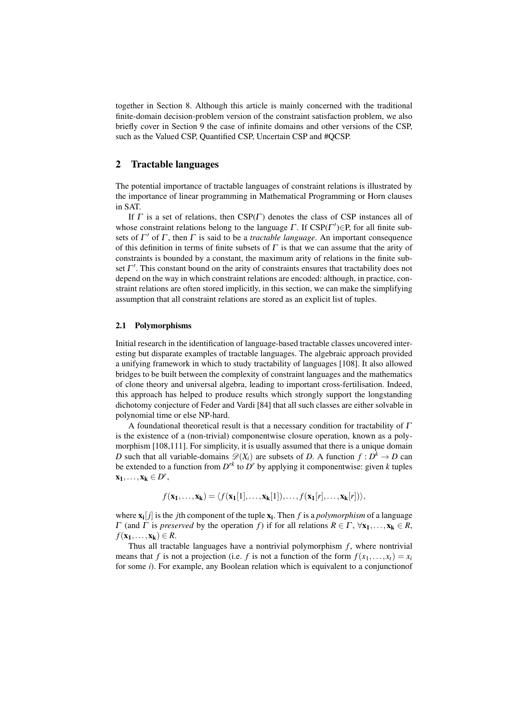together in Section 8. Although this article is mainly concerned with the traditional finite-domain decision-problem version of the constraint satisfaction problem, we also briefly cover in Section 9 the case of infinite domains and other versions of the CSP, such as the Valued CSP, Quantified CSP, Uncertain CSP and #QCSP.

# 2 Tractable languages

The potential importance of tractable languages of constraint relations is illustrated by the importance of linear programming in Mathematical Programming or Horn clauses in SAT.

If  $\Gamma$  is a set of relations, then  $CSP(\Gamma)$  denotes the class of CSP instances all of whose constraint relations belong to the language  $\Gamma$ . If CSP( $\Gamma'$ ) $\in$ P, for all finite subsets of  $\Gamma'$  of  $\Gamma$ , then  $\Gamma$  is said to be a *tractable language*. An important consequence of this definition in terms of finite subsets of  $\Gamma$  is that we can assume that the arity of constraints is bounded by a constant, the maximum arity of relations in the finite subset  $\Gamma'$ . This constant bound on the arity of constraints ensures that tractability does not depend on the way in which constraint relations are encoded: although, in practice, constraint relations are often stored implicitly, in this section, we can make the simplifying assumption that all constraint relations are stored as an explicit list of tuples.

## 2.1 Polymorphisms

Initial research in the identification of language-based tractable classes uncovered interesting but disparate examples of tractable languages. The algebraic approach provided a unifying framework in which to study tractability of languages [108]. It also allowed bridges to be built between the complexity of constraint languages and the mathematics of clone theory and universal algebra, leading to important cross-fertilisation. Indeed, this approach has helped to produce results which strongly support the longstanding dichotomy conjecture of Feder and Vardi [84] that all such classes are either solvable in polynomial time or else NP-hard.

A foundational theoretical result is that a necessary condition for tractability of  $\Gamma$ is the existence of a (non-trivial) componentwise closure operation, known as a polymorphism [108,111]. For simplicity, it is usually assumed that there is a unique domain *D* such that all variable-domains  $\mathcal{D}(X_i)$  are subsets of *D*. A function  $f: D^k \to D$  can be extended to a function from  $D^{rk}$  to  $D^r$  by applying it componentwise: given *k* tuples  $\mathbf{x}_1,\ldots,\mathbf{x}_k\in D^r$ 

$$
f(\mathbf{x}_1,\ldots,\mathbf{x}_k)=\langle f(\mathbf{x}_1[1],\ldots,\mathbf{x}_k[1]),\ldots,f(\mathbf{x}_1[r],\ldots,\mathbf{x}_k[r])\rangle,
$$

where  $\mathbf{x_i}[j]$  is the *j*th component of the tuple  $\mathbf{x_i}$ . Then *f* is a *polymorphism* of a language  $Γ$  (and  $Γ$  is *preserved* by the operation  $f$ ) if for all relations  $R ∈ Γ, ∀x<sub>1</sub>,...,x<sub>k</sub> ∈ R$ ,  $f(\mathbf{x}_1,\ldots,\mathbf{x}_k) \in R$ .

Thus all tractable languages have a nontrivial polymorphism  $f$ , where nontrivial means that *f* is not a projection (i.e. *f* is not a function of the form  $f(x_1,...,x_t) = x_i$ for some *i*). For example, any Boolean relation which is equivalent to a conjunctionof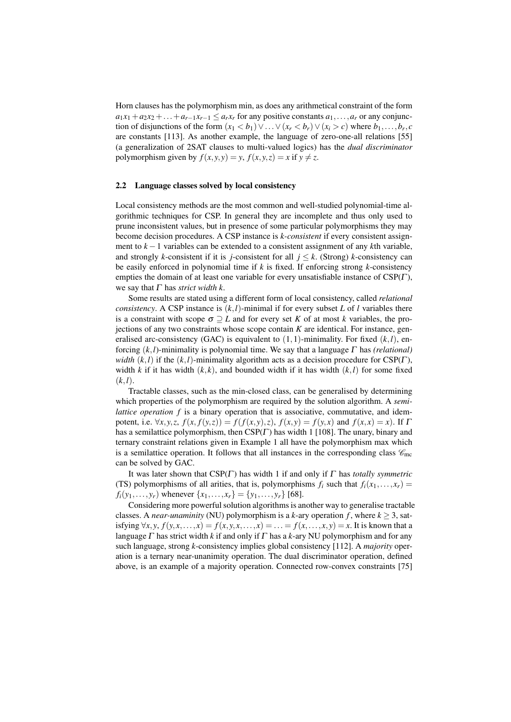Horn clauses has the polymorphism min, as does any arithmetical constraint of the form  $a_1x_1 + a_2x_2 + \ldots + a_{r-1}x_{r-1} \le a_rx_r$  for any positive constants  $a_1, \ldots, a_r$  or any conjunction of disjunctions of the form  $(x_1 < b_1) \vee \ldots \vee (x_r < b_r) \vee (x_i > c)$  where  $b_1, \ldots, b_r, c$ are constants [113]. As another example, the language of zero-one-all relations [55] (a generalization of 2SAT clauses to multi-valued logics) has the *dual discriminator* polymorphism given by  $f(x, y, y) = y$ ,  $f(x, y, z) = x$  if  $y \neq z$ .

## 2.2 Language classes solved by local consistency

Local consistency methods are the most common and well-studied polynomial-time algorithmic techniques for CSP. In general they are incomplete and thus only used to prune inconsistent values, but in presence of some particular polymorphisms they may become decision procedures. A CSP instance is *k-consistent* if every consistent assignment to *k* −1 variables can be extended to a consistent assignment of any *k*th variable, and strongly *k*-consistent if it is *j*-consistent for all  $j \leq k$ . (Strong) *k*-consistency can be easily enforced in polynomial time if *k* is fixed. If enforcing strong *k*-consistency empties the domain of at least one variable for every unsatisfiable instance of CSP(Γ ), we say that  $\Gamma$  has *strict width k*.

Some results are stated using a different form of local consistency, called *relational consistency*. A CSP instance is  $(k, l)$ -minimal if for every subset *L* of *l* variables there is a constraint with scope  $\sigma \supseteq L$  and for every set *K* of at most *k* variables, the projections of any two constraints whose scope contain *K* are identical. For instance, generalised arc-consistency (GAC) is equivalent to  $(1,1)$ -minimality. For fixed  $(k, l)$ , enforcing (*k*,*l*)-minimality is polynomial time. We say that a language Γ has *(relational) width*  $(k, l)$  if the  $(k, l)$ -minimality algorithm acts as a decision procedure for CSP(Γ), width *k* if it has width  $(k, k)$ , and bounded width if it has width  $(k, l)$  for some fixed  $(k, l)$ .

Tractable classes, such as the min-closed class, can be generalised by determining which properties of the polymorphism are required by the solution algorithm. A *semilattice operation* f is a binary operation that is associative, commutative, and idempotent, i.e.  $\forall x, y, z, f(x, f(y, z)) = f(f(x, y), z), f(x, y) = f(y, x)$  and  $f(x, x) = x$ ). If  $\Gamma$ has a semilattice polymorphism, then  $CSP(\Gamma)$  has width 1 [108]. The unary, binary and ternary constraint relations given in Example 1 all have the polymorphism max which is a semilattice operation. It follows that all instances in the corresponding class  $\mathscr{C}_{\text{mc}}$ can be solved by GAC.

It was later shown that CSP(Γ ) has width 1 if and only if Γ has *totally symmetric* (TS) polymorphisms of all arities, that is, polymorphisms  $f_i$  such that  $f_i(x_1,...,x_r)$  $f_i(y_1,..., y_r)$  whenever  $\{x_1,..., x_r\} = \{y_1,..., y_r\}$  [68].

Considering more powerful solution algorithms is another way to generalise tractable classes. A *near-unaminity* (NU) polymorphism is a *k*-ary operation *f*, where  $k \geq 3$ , satisfying  $\forall x, y, f(y, x, \ldots, x) = f(x, y, x, \ldots, x) = \ldots = f(x, \ldots, x, y) = x$ . It is known that a language  $\Gamma$  has strict width  $k$  if and only if  $\Gamma$  has a  $k$ -ary NU polymorphism and for any such language, strong *k*-consistency implies global consistency [112]. A *majority* operation is a ternary near-unanimity operation. The dual discriminator operation, defined above, is an example of a majority operation. Connected row-convex constraints [75]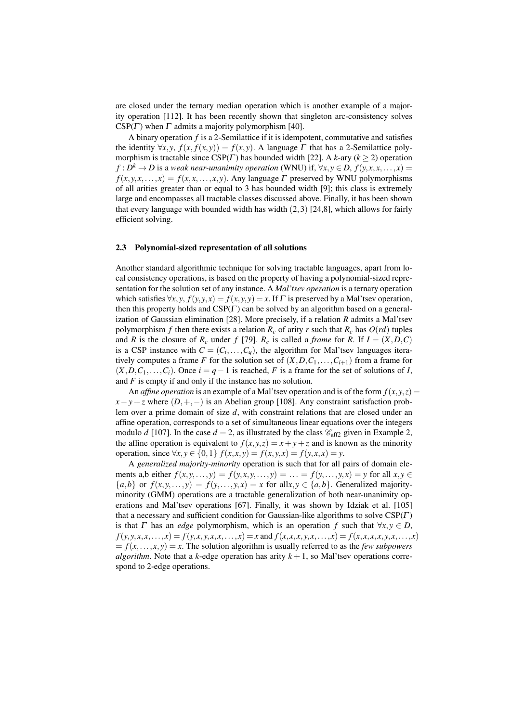are closed under the ternary median operation which is another example of a majority operation [112]. It has been recently shown that singleton arc-consistency solves  $CSP(\Gamma)$  when  $\Gamma$  admits a majority polymorphism [40].

A binary operation *f* is a 2-Semilattice if it is idempotent, commutative and satisfies the identity  $\forall x, y, f(x, f(x, y)) = f(x, y)$ . A language  $\Gamma$  that has a 2-Semilattice polymorphism is tractable since  $CSP(\Gamma)$  has bounded width [22]. A *k*-ary ( $k \ge 2$ ) operation  $f: D^k \to D$  is a *weak near-unanimity operation* (WNU) if,  $\forall x, y \in D$ ,  $f(y, x, x, \ldots, x) =$  $f(x, y, x, \ldots, x) = f(x, x, \ldots, x, y)$ . Any language  $\Gamma$  preserved by WNU polymorphisms of all arities greater than or equal to 3 has bounded width [9]; this class is extremely large and encompasses all tractable classes discussed above. Finally, it has been shown that every language with bounded width has width  $(2,3)$  [24,8], which allows for fairly efficient solving.

# 2.3 Polynomial-sized representation of all solutions

Another standard algorithmic technique for solving tractable languages, apart from local consistency operations, is based on the property of having a polynomial-sized representation for the solution set of any instance. A *Mal'tsev operation* is a ternary operation which satisfies  $\forall x, y, f(y, y, x) = f(x, y, y) = x$ . If  $\Gamma$  is preserved by a Mal'tsev operation, then this property holds and  $CSP(\Gamma)$  can be solved by an algorithm based on a generalization of Gaussian elimination [28]. More precisely, if a relation *R* admits a Mal'tsev polymorphism *f* then there exists a relation  $R_c$  of arity *r* such that  $R_c$  has  $O(rd)$  tuples and *R* is the closure of  $R_c$  under *f* [79].  $R_c$  is called a *frame* for *R*. If  $I = (X, D, C)$ is a CSP instance with  $C = (C_i, \ldots, C_q)$ , the algorithm for Mal'tsev languages iteratively computes a frame *F* for the solution set of  $(X, D, C_1, \ldots, C_{i+1})$  from a frame for  $(X, D, C_1, \ldots, C_i)$ . Once  $i = q - 1$  is reached, *F* is a frame for the set of solutions of *I*, and *F* is empty if and only if the instance has no solution.

An *affine operation* is an example of a Mal'tsev operation and is of the form  $f(x, y, z) =$  $x - y + z$  where  $(D, +, -)$  is an Abelian group [108]. Any constraint satisfaction problem over a prime domain of size *d*, with constraint relations that are closed under an affine operation, corresponds to a set of simultaneous linear equations over the integers modulo *d* [107]. In the case  $d = 2$ , as illustrated by the class  $\mathcal{C}_{\text{aff2}}$  given in Example 2, the affine operation is equivalent to  $f(x, y, z) = x + y + z$  and is known as the minority operation, since  $\forall x, y \in \{0, 1\}$   $f(x, x, y) = f(x, y, x) = f(y, x, x) = y$ .

A *generalized majority-minority* operation is such that for all pairs of domain elements a,b either  $f(x, y, \ldots, y) = f(y, x, y, \ldots, y) = \ldots = f(y, \ldots, y, x) = y$  for all  $x, y \in$  ${a,b}$  or  $f(x, y, \ldots, y) = f(y, \ldots, y, x) = x$  for all  $x, y \in {a,b}$ . Generalized majorityminority (GMM) operations are a tractable generalization of both near-unanimity operations and Mal'tsev operations [67]. Finally, it was shown by Idziak et al. [105] that a necessary and sufficient condition for Gaussian-like algorithms to solve  $CSP(\Gamma)$ is that  $\Gamma$  has an *edge* polymorphism, which is an operation  $f$  such that  $\forall x, y \in D$ ,  $f(y, y, x, x, \dots, x) = f(y, x, y, x, x, \dots, x) = x$  and  $f(x, x, x, y, x, \dots, x) = f(x, x, x, y, x, \dots, x)$  $f(x, \ldots, x, y) = x$ . The solution algorithm is usually referred to as the *few subpowers algorithm*. Note that a *k*-edge operation has arity  $k + 1$ , so Mal'tsev operations correspond to 2-edge operations.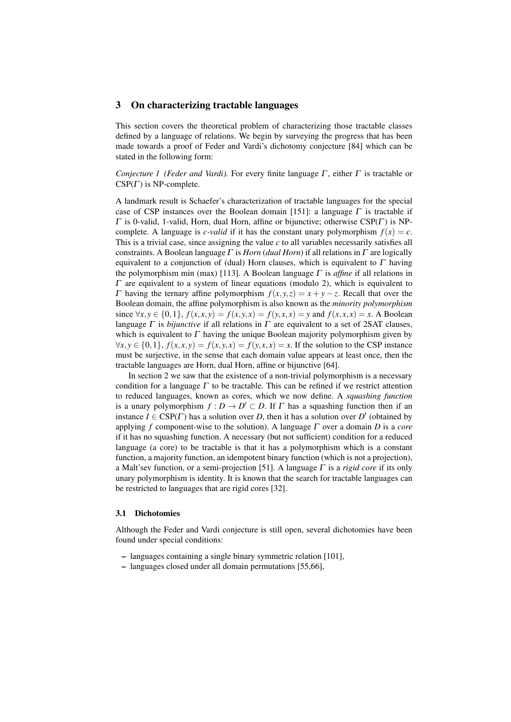## 3 On characterizing tractable languages

This section covers the theoretical problem of characterizing those tractable classes defined by a language of relations. We begin by surveying the progress that has been made towards a proof of Feder and Vardi's dichotomy conjecture [84] which can be stated in the following form:

*Conjecture 1 (Feder and Vardi).* For every finite language Γ , either Γ is tractable or  $CSP(\Gamma)$  is NP-complete.

A landmark result is Schaefer's characterization of tractable languages for the special case of CSP instances over the Boolean domain [151]: a language  $\Gamma$  is tractable if  $\Gamma$  is 0-valid, 1-valid, Horn, dual Horn, affine or bijunctive; otherwise CSP( $\Gamma$ ) is NPcomplete. A language is *c*-valid if it has the constant unary polymorphism  $f(x) = c$ . This is a trivial case, since assigning the value *c* to all variables necessarily satisfies all constraints. A Boolean language Γ is *Horn* (*dual Horn*) if all relations in Γ are logically equivalent to a conjunction of (dual) Horn clauses, which is equivalent to  $\Gamma$  having the polymorphism min (max) [113]. A Boolean language Γ is *affine* if all relations in  $\Gamma$  are equivalent to a system of linear equations (modulo 2), which is equivalent to  $Γ$  having the ternary affine polymorphism  $f(x, y, z) = x + y - z$ . Recall that over the Boolean domain, the affine polymorphism is also known as the *minority polymorphism* since  $\forall x, y \in \{0, 1\}, f(x, x, y) = f(x, y, x) = f(y, x, x) = y$  and  $f(x, x, x) = x$ . A Boolean language  $\Gamma$  is *bijunctive* if all relations in  $\Gamma$  are equivalent to a set of 2SAT clauses, which is equivalent to  $\Gamma$  having the unique Boolean majority polymorphism given by  $∀x, y ∈ {0, 1}, f(x, x, y) = f(x, y, x) = f(y, x, x) = x$ . If the solution to the CSP instance must be surjective, in the sense that each domain value appears at least once, then the tractable languages are Horn, dual Horn, affine or bijunctive [64].

In section 2 we saw that the existence of a non-trivial polymorphism is a necessary condition for a language  $\Gamma$  to be tractable. This can be refined if we restrict attention to reduced languages, known as cores, which we now define. A *squashing function* is a unary polymorphism  $f: D \to D' \subset D$ . If  $\Gamma$  has a squashing function then if an instance  $I \in \text{CSP}(\Gamma)$  has a solution over *D*, then it has a solution over *D'* (obtained by applying *f* component-wise to the solution). A language Γ over a domain *D* is a *core* if it has no squashing function. A necessary (but not sufficient) condition for a reduced language (a core) to be tractable is that it has a polymorphism which is a constant function, a majority function, an idempotent binary function (which is not a projection), a Malt'sev function, or a semi-projection [51]. A language Γ is a *rigid core* if its only unary polymorphism is identity. It is known that the search for tractable languages can be restricted to languages that are rigid cores [32].

# 3.1 Dichotomies

Although the Feder and Vardi conjecture is still open, several dichotomies have been found under special conditions:

- languages containing a single binary symmetric relation [101],
- languages closed under all domain permutations [55,66],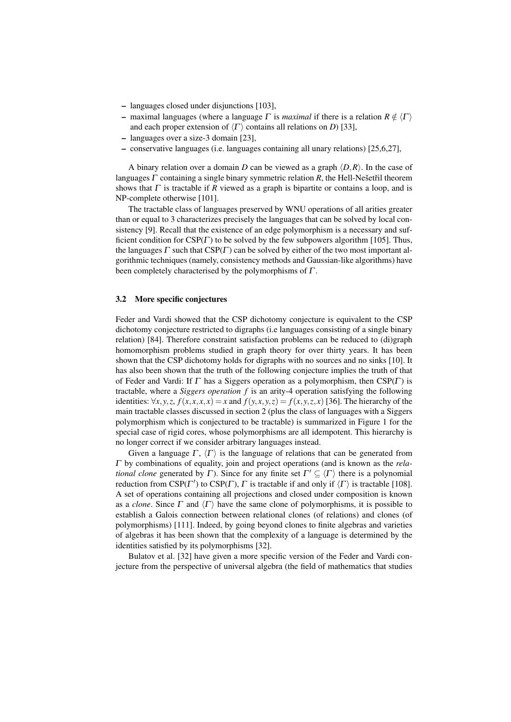- languages closed under disjunctions [103],
- maximal languages (where a language  $\Gamma$  is *maximal* if there is a relation  $R \notin \langle \Gamma \rangle$ and each proper extension of  $\langle \Gamma \rangle$  contains all relations on *D*) [33],
- languages over a size-3 domain [23],
- conservative languages (i.e. languages containing all unary relations) [25,6,27],

A binary relation over a domain *D* can be viewed as a graph  $\langle D, R \rangle$ . In the case of languages  $\Gamma$  containing a single binary symmetric relation  $\overline{R}$ , the Hell-Nesetril theorem shows that  $\Gamma$  is tractable if  $R$  viewed as a graph is bipartite or contains a loop, and is NP-complete otherwise [101].

The tractable class of languages preserved by WNU operations of all arities greater than or equal to 3 characterizes precisely the languages that can be solved by local consistency [9]. Recall that the existence of an edge polymorphism is a necessary and sufficient condition for  $CSP(\Gamma)$  to be solved by the few subpowers algorithm [105]. Thus, the languages  $\Gamma$  such that  $CSP(\Gamma)$  can be solved by either of the two most important algorithmic techniques (namely, consistency methods and Gaussian-like algorithms) have been completely characterised by the polymorphisms of  $\Gamma$ .

## 3.2 More specific conjectures

Feder and Vardi showed that the CSP dichotomy conjecture is equivalent to the CSP dichotomy conjecture restricted to digraphs (i.e languages consisting of a single binary relation) [84]. Therefore constraint satisfaction problems can be reduced to (di)graph homomorphism problems studied in graph theory for over thirty years. It has been shown that the CSP dichotomy holds for digraphs with no sources and no sinks [10]. It has also been shown that the truth of the following conjecture implies the truth of that of Feder and Vardi: If  $\Gamma$  has a Siggers operation as a polymorphism, then  $CSP(\Gamma)$  is tractable, where a *Siggers operation f* is an arity-4 operation satisfying the following identities:  $\forall x, y, z, f(x, x, x, x) = x$  and  $f(y, x, y, z) = f(x, y, z, x)$  [36]. The hierarchy of the main tractable classes discussed in section 2 (plus the class of languages with a Siggers polymorphism which is conjectured to be tractable) is summarized in Figure 1 for the special case of rigid cores, whose polymorphisms are all idempotent. This hierarchy is no longer correct if we consider arbitrary languages instead.

Given a language  $\Gamma$ ,  $\langle \Gamma \rangle$  is the language of relations that can be generated from Γ by combinations of equality, join and project operations (and is known as the *relational clone* generated by  $\Gamma$ ). Since for any finite set  $\Gamma' \subseteq \langle \Gamma \rangle$  there is a polynomial reduction from CSP( $\Gamma'$ ) to CSP( $\Gamma$ ),  $\Gamma$  is tractable if and only if  $\langle \Gamma \rangle$  is tractable [108]. A set of operations containing all projections and closed under composition is known as a *clone*. Since  $\Gamma$  and  $\langle \Gamma \rangle$  have the same clone of polymorphisms, it is possible to establish a Galois connection between relational clones (of relations) and clones (of polymorphisms) [111]. Indeed, by going beyond clones to finite algebras and varieties of algebras it has been shown that the complexity of a language is determined by the identities satisfied by its polymorphisms [32].

Bulatov et al. [32] have given a more specific version of the Feder and Vardi conjecture from the perspective of universal algebra (the field of mathematics that studies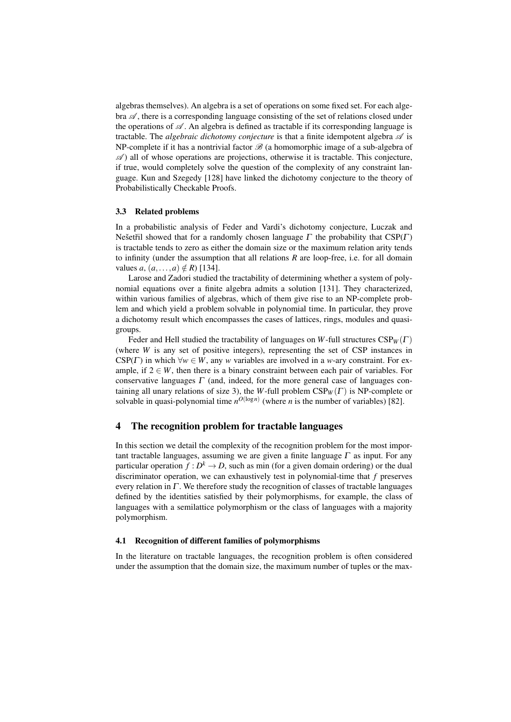algebras themselves). An algebra is a set of operations on some fixed set. For each alge $bra \mathscr{A}$ , there is a corresponding language consisting of the set of relations closed under the operations of  $\mathscr A$ . An algebra is defined as tractable if its corresponding language is tractable. The *algebraic dichotomy conjecture* is that a finite idempotent algebra  $\mathscr A$  is NP-complete if it has a nontrivial factor  $\mathscr{B}$  (a homomorphic image of a sub-algebra of  $\mathscr{A}$ ) all of whose operations are projections, otherwise it is tractable. This conjecture, if true, would completely solve the question of the complexity of any constraint language. Kun and Szegedy [128] have linked the dichotomy conjecture to the theory of Probabilistically Checkable Proofs.

## 3.3 Related problems

In a probabilistic analysis of Feder and Vardi's dichotomy conjecture, Luczak and Neset <sup>γ</sup> is showed that for a randomly chosen language  $\Gamma$  the probability that CSP( $\Gamma$ ) is tractable tends to zero as either the domain size or the maximum relation arity tends to infinity (under the assumption that all relations *R* are loop-free, i.e. for all domain values *a*,  $(a, ..., a) \notin R$  [134].

Larose and Zadori studied the tractability of determining whether a system of polynomial equations over a finite algebra admits a solution [131]. They characterized, within various families of algebras, which of them give rise to an NP-complete problem and which yield a problem solvable in polynomial time. In particular, they prove a dichotomy result which encompasses the cases of lattices, rings, modules and quasigroups.

Feder and Hell studied the tractability of languages on *W*-full structures  $CSP_W(\Gamma)$ (where *W* is any set of positive integers), representing the set of CSP instances in CSP( $\Gamma$ ) in which  $\forall w \in W$ , any *w* variables are involved in a *w*-ary constraint. For example, if  $2 \in W$ , then there is a binary constraint between each pair of variables. For conservative languages  $\Gamma$  (and, indeed, for the more general case of languages containing all unary relations of size 3), the *W*-full problem  $CSP_W(\Gamma)$  is NP-complete or solvable in quasi-polynomial time  $n^{O(\log n)}$  (where *n* is the number of variables) [82].

# 4 The recognition problem for tractable languages

In this section we detail the complexity of the recognition problem for the most important tractable languages, assuming we are given a finite language  $\Gamma$  as input. For any particular operation  $f: D^k \to D$ , such as min (for a given domain ordering) or the dual discriminator operation, we can exhaustively test in polynomial-time that *f* preserves every relation in  $\Gamma$ . We therefore study the recognition of classes of tractable languages defined by the identities satisfied by their polymorphisms, for example, the class of languages with a semilattice polymorphism or the class of languages with a majority polymorphism.

## 4.1 Recognition of different families of polymorphisms

In the literature on tractable languages, the recognition problem is often considered under the assumption that the domain size, the maximum number of tuples or the max-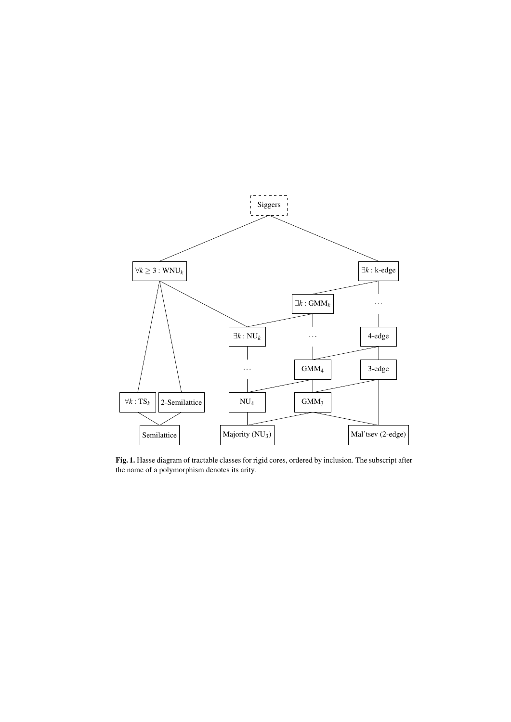

Fig. 1. Hasse diagram of tractable classes for rigid cores, ordered by inclusion. The subscript after the name of a polymorphism denotes its arity.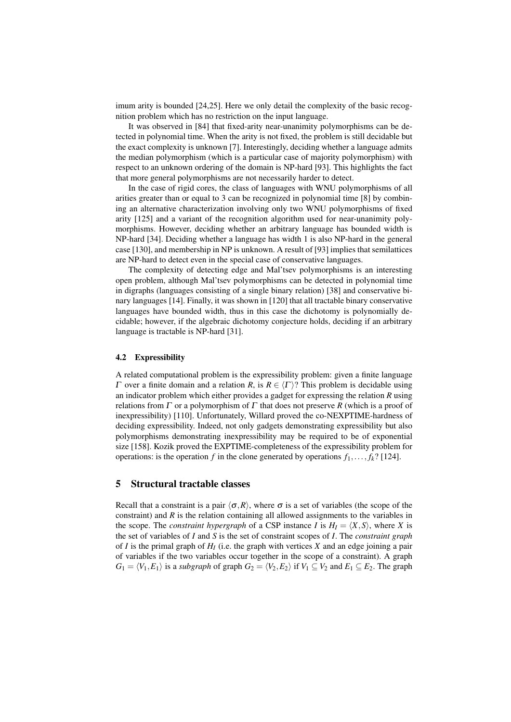imum arity is bounded [24,25]. Here we only detail the complexity of the basic recognition problem which has no restriction on the input language.

It was observed in [84] that fixed-arity near-unanimity polymorphisms can be detected in polynomial time. When the arity is not fixed, the problem is still decidable but the exact complexity is unknown [7]. Interestingly, deciding whether a language admits the median polymorphism (which is a particular case of majority polymorphism) with respect to an unknown ordering of the domain is NP-hard [93]. This highlights the fact that more general polymorphisms are not necessarily harder to detect.

In the case of rigid cores, the class of languages with WNU polymorphisms of all arities greater than or equal to 3 can be recognized in polynomial time [8] by combining an alternative characterization involving only two WNU polymorphisms of fixed arity [125] and a variant of the recognition algorithm used for near-unanimity polymorphisms. However, deciding whether an arbitrary language has bounded width is NP-hard [34]. Deciding whether a language has width 1 is also NP-hard in the general case [130], and membership in NP is unknown. A result of [93] implies that semilattices are NP-hard to detect even in the special case of conservative languages.

The complexity of detecting edge and Mal'tsev polymorphisms is an interesting open problem, although Mal'tsev polymorphisms can be detected in polynomial time in digraphs (languages consisting of a single binary relation) [38] and conservative binary languages [14]. Finally, it was shown in [120] that all tractable binary conservative languages have bounded width, thus in this case the dichotomy is polynomially decidable; however, if the algebraic dichotomy conjecture holds, deciding if an arbitrary language is tractable is NP-hard [31].

#### 4.2 Expressibility

A related computational problem is the expressibility problem: given a finite language Γ over a finite domain and a relation *R*, is  $R \in \langle \Gamma \rangle$ ? This problem is decidable using an indicator problem which either provides a gadget for expressing the relation *R* using relations from Γ or a polymorphism of Γ that does not preserve *R* (which is a proof of inexpressibility) [110]. Unfortunately, Willard proved the co-NEXPTIME-hardness of deciding expressibility. Indeed, not only gadgets demonstrating expressibility but also polymorphisms demonstrating inexpressibility may be required to be of exponential size [158]. Kozik proved the EXPTIME-completeness of the expressibility problem for operations: is the operation *f* in the clone generated by operations  $f_1, \ldots, f_k$ ? [124].

# 5 Structural tractable classes

Recall that a constraint is a pair  $\langle \sigma, R \rangle$ , where  $\sigma$  is a set of variables (the scope of the constraint) and *R* is the relation containing all allowed assignments to the variables in the scope. The *constraint hypergraph* of a CSP instance *I* is  $H_I = \langle X, S \rangle$ , where *X* is the set of variables of *I* and *S* is the set of constraint scopes of *I*. The *constraint graph* of *I* is the primal graph of *H<sup>I</sup>* (i.e. the graph with vertices *X* and an edge joining a pair of variables if the two variables occur together in the scope of a constraint). A graph *G*<sub>1</sub> =  $\langle V_1, E_1 \rangle$  is a *subgraph* of graph *G*<sub>2</sub> =  $\langle V_2, E_2 \rangle$  if *V*<sub>1</sub> ⊆ *V*<sub>2</sub> and *E*<sub>1</sub> ⊆ *E*<sub>2</sub>. The graph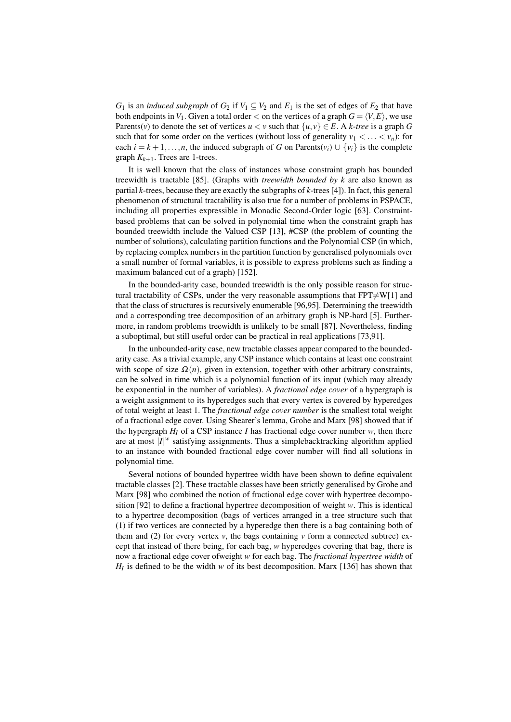*G*<sub>1</sub> is an *induced subgraph* of *G*<sub>2</sub> if  $V_1 \subseteq V_2$  and  $E_1$  is the set of edges of  $E_2$  that have both endpoints in  $V_1$ . Given a total order  $\lt$  on the vertices of a graph  $G = \langle V, E \rangle$ , we use Parents(*v*) to denote the set of vertices  $u < v$  such that  $\{u, v\} \in E$ . A *k-tree* is a graph *G* such that for some order on the vertices (without loss of generality  $v_1 < \ldots < v_n$ ): for each  $i = k + 1, \ldots, n$ , the induced subgraph of *G* on Parents( $v_i$ ) ∪  $\{v_i\}$  is the complete graph  $K_{k+1}$ . Trees are 1-trees.

It is well known that the class of instances whose constraint graph has bounded treewidth is tractable [85]. (Graphs with *treewidth bounded by k* are also known as partial *k*-trees, because they are exactly the subgraphs of *k*-trees [4]). In fact, this general phenomenon of structural tractability is also true for a number of problems in PSPACE, including all properties expressible in Monadic Second-Order logic [63]. Constraintbased problems that can be solved in polynomial time when the constraint graph has bounded treewidth include the Valued CSP [13], #CSP (the problem of counting the number of solutions), calculating partition functions and the Polynomial CSP (in which, by replacing complex numbers in the partition function by generalised polynomials over a small number of formal variables, it is possible to express problems such as finding a maximum balanced cut of a graph) [152].

In the bounded-arity case, bounded treewidth is the only possible reason for structural tractability of CSPs, under the very reasonable assumptions that  $FPT \neq W[1]$  and that the class of structures is recursively enumerable [96,95]. Determining the treewidth and a corresponding tree decomposition of an arbitrary graph is NP-hard [5]. Furthermore, in random problems treewidth is unlikely to be small [87]. Nevertheless, finding a suboptimal, but still useful order can be practical in real applications [73,91].

In the unbounded-arity case, new tractable classes appear compared to the boundedarity case. As a trivial example, any CSP instance which contains at least one constraint with scope of size  $\Omega(n)$ , given in extension, together with other arbitrary constraints, can be solved in time which is a polynomial function of its input (which may already be exponential in the number of variables). A *fractional edge cover* of a hypergraph is a weight assignment to its hyperedges such that every vertex is covered by hyperedges of total weight at least 1. The *fractional edge cover number* is the smallest total weight of a fractional edge cover. Using Shearer's lemma, Grohe and Marx [98] showed that if the hypergraph  $H_I$  of a CSP instance *I* has fractional edge cover number *w*, then there are at most |*I*| *<sup>w</sup>* satisfying assignments. Thus a simplebacktracking algorithm applied to an instance with bounded fractional edge cover number will find all solutions in polynomial time.

Several notions of bounded hypertree width have been shown to define equivalent tractable classes [2]. These tractable classes have been strictly generalised by Grohe and Marx [98] who combined the notion of fractional edge cover with hypertree decomposition [92] to define a fractional hypertree decomposition of weight *w*. This is identical to a hypertree decomposition (bags of vertices arranged in a tree structure such that (1) if two vertices are connected by a hyperedge then there is a bag containing both of them and (2) for every vertex  $v$ , the bags containing  $v$  form a connected subtree) except that instead of there being, for each bag, *w* hyperedges covering that bag, there is now a fractional edge cover ofweight *w* for each bag. The *fractional hypertree width* of  $H_I$  is defined to be the width *w* of its best decomposition. Marx [136] has shown that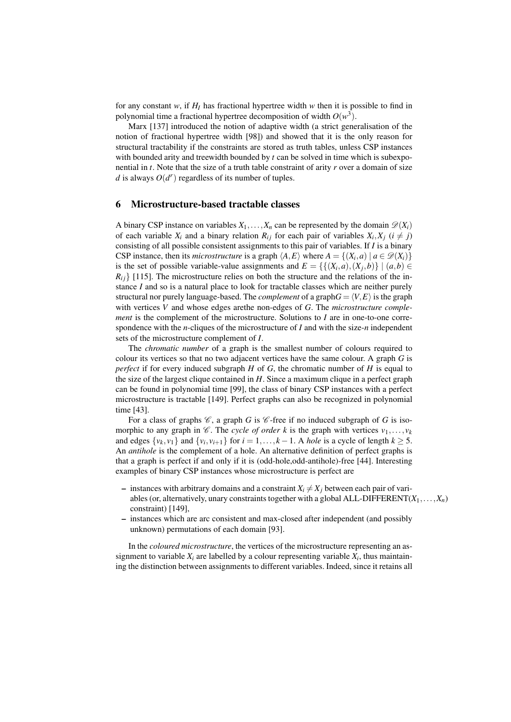for any constant  $w$ , if  $H_I$  has fractional hypertree width  $w$  then it is possible to find in polynomial time a fractional hypertree decomposition of width  $O(w^3)$ .

Marx [137] introduced the notion of adaptive width (a strict generalisation of the notion of fractional hypertree width [98]) and showed that it is the only reason for structural tractability if the constraints are stored as truth tables, unless CSP instances with bounded arity and treewidth bounded by *t* can be solved in time which is subexponential in *t*. Note that the size of a truth table constraint of arity *r* over a domain of size *d* is always  $O(d^r)$  regardless of its number of tuples.

## 6 Microstructure-based tractable classes

A binary CSP instance on variables  $X_1, \ldots, X_n$  can be represented by the domain  $\mathscr{D}(X_i)$ of each variable  $X_i$  and a binary relation  $R_{ij}$  for each pair of variables  $X_i, X_j$  ( $i \neq j$ ) consisting of all possible consistent assignments to this pair of variables. If *I* is a binary CSP instance, then its *microstructure* is a graph  $\langle A, E \rangle$  where  $A = \{(X_i, a) | a \in \mathcal{D}(X_i)\}\$ is the set of possible variable-value assignments and  $E = \{ \{(X_i, a), (X_j, b)\} \mid (a, b) \in$  $R_{ij}$  [115]. The microstructure relies on both the structure and the relations of the instance *I* and so is a natural place to look for tractable classes which are neither purely structural nor purely language-based. The *complement* of a graph $G = \langle V, E \rangle$  is the graph with vertices *V* and whose edges arethe non-edges of *G*. The *microstructure complement* is the complement of the microstructure. Solutions to *I* are in one-to-one correspondence with the *n*-cliques of the microstructure of *I* and with the size-*n* independent sets of the microstructure complement of *I*.

The *chromatic number* of a graph is the smallest number of colours required to colour its vertices so that no two adjacent vertices have the same colour. A graph *G* is *perfect* if for every induced subgraph *H* of *G*, the chromatic number of *H* is equal to the size of the largest clique contained in *H*. Since a maximum clique in a perfect graph can be found in polynomial time [99], the class of binary CSP instances with a perfect microstructure is tractable [149]. Perfect graphs can also be recognized in polynomial time [43].

For a class of graphs  $\mathcal{C}$ , a graph *G* is  $\mathcal{C}$ -free if no induced subgraph of *G* is isomorphic to any graph in  $\mathcal{C}$ . The *cycle of order k* is the graph with vertices  $v_1, \ldots, v_k$ and edges  $\{v_k, v_1\}$  and  $\{v_i, v_{i+1}\}$  for  $i = 1, \ldots, k - 1$ . A *hole* is a cycle of length  $k \geq 5$ . An *antihole* is the complement of a hole. An alternative definition of perfect graphs is that a graph is perfect if and only if it is (odd-hole,odd-antihole)-free [44]. Interesting examples of binary CSP instances whose microstructure is perfect are

- instances with arbitrary domains and a constraint  $X_i \neq X_j$  between each pair of variables (or, alternatively, unary constraints together with a global ALL-DIFFERENT( $X_1, \ldots, X_n$ ) constraint) [149],
- instances which are arc consistent and max-closed after independent (and possibly unknown) permutations of each domain [93].

In the *coloured microstructure*, the vertices of the microstructure representing an assignment to variable  $X_i$  are labelled by a colour representing variable  $X_i$ , thus maintaining the distinction between assignments to different variables. Indeed, since it retains all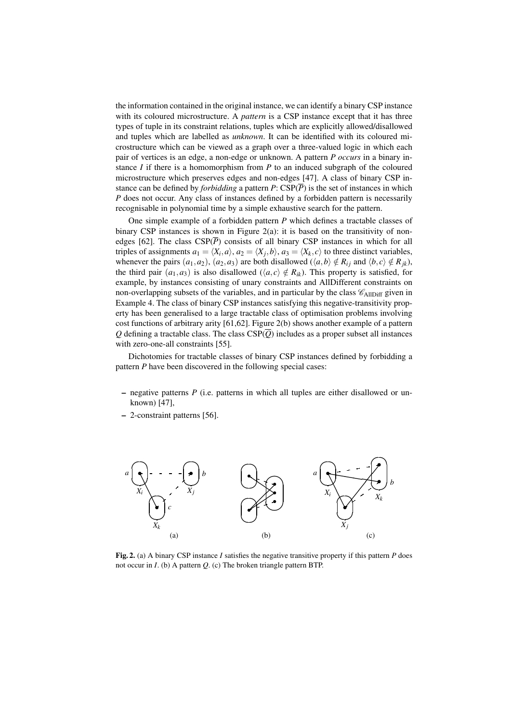the information contained in the original instance, we can identify a binary CSP instance with its coloured microstructure. A *pattern* is a CSP instance except that it has three types of tuple in its constraint relations, tuples which are explicitly allowed/disallowed and tuples which are labelled as *unknown*. It can be identified with its coloured microstructure which can be viewed as a graph over a three-valued logic in which each pair of vertices is an edge, a non-edge or unknown. A pattern *P occurs* in a binary instance *I* if there is a homomorphism from *P* to an induced subgraph of the coloured microstructure which preserves edges and non-edges [47]. A class of binary CSP instance can be defined by *forbidding* a pattern *P*:  $CSP(\overline{P})$  is the set of instances in which *P* does not occur. Any class of instances defined by a forbidden pattern is necessarily recognisable in polynomial time by a simple exhaustive search for the pattern.

One simple example of a forbidden pattern *P* which defines a tractable classes of binary CSP instances is shown in Figure 2(a): it is based on the transitivity of nonedges [62]. The class  $CSP(\overline{P})$  consists of all binary CSP instances in which for all triples of assignments  $a_1 = \langle X_i, a \rangle$ ,  $a_2 = \langle X_j, b \rangle$ ,  $a_3 = \langle X_k, c \rangle$  to three distinct variables, whenever the pairs  $(a_1, a_2)$ ,  $(a_2, a_3)$  are both disallowed  $(\langle a, b \rangle \notin R_{ij}$  and  $\langle b, c \rangle \notin R_{jk})$ , the third pair  $(a_1, a_3)$  is also disallowed  $(\langle a, c \rangle \notin R_{ik})$ . This property is satisfied, for example, by instances consisting of unary constraints and AllDifferent constraints on non-overlapping subsets of the variables, and in particular by the class  $\mathscr{C}_{\text{AlIDiff}}$  given in Example 4. The class of binary CSP instances satisfying this negative-transitivity property has been generalised to a large tractable class of optimisation problems involving cost functions of arbitrary arity [61,62]. Figure 2(b) shows another example of a pattern *Q* defining a tractable class. The class  $CSP(\overline{Q})$  includes as a proper subset all instances with zero-one-all constraints [55].

Dichotomies for tractable classes of binary CSP instances defined by forbidding a pattern *P* have been discovered in the following special cases:

- negative patterns *P* (i.e. patterns in which all tuples are either disallowed or unknown) [47],
- 2-constraint patterns [56].



Fig. 2. (a) A binary CSP instance *I* satisfies the negative transitive property if this pattern *P* does not occur in *I*. (b) A pattern *Q*. (c) The broken triangle pattern BTP.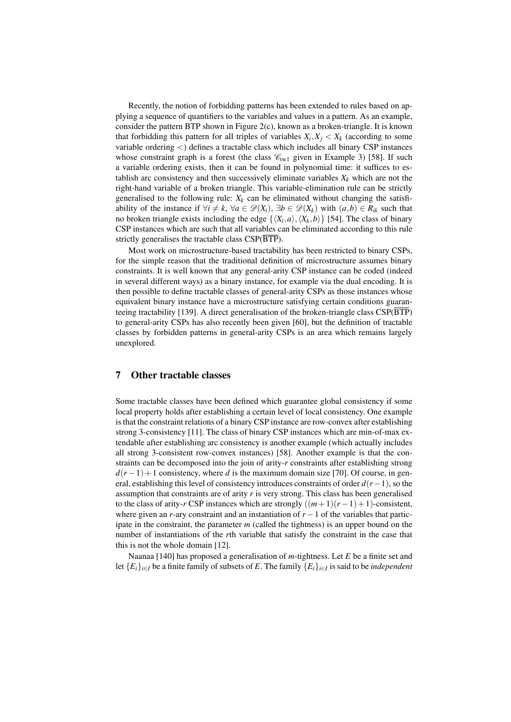Recently, the notion of forbidding patterns has been extended to rules based on applying a sequence of quantifiers to the variables and values in a pattern. As an example, consider the pattern BTP shown in Figure 2(c), known as a broken-triangle. It is known that forbidding this pattern for all triples of variables  $X_i, X_j < X_k$  (according to some variable ordering <) defines a tractable class which includes all binary CSP instances whose constraint graph is a forest (the class  $\mathcal{C}_{tw1}$  given in Example 3) [58]. If such a variable ordering exists, then it can be found in polynomial time: it suffices to establish arc consistency and then successively eliminate variables  $X_k$  which are not the right-hand variable of a broken triangle. This variable-elimination rule can be strictly generalised to the following rule:  $X_k$  can be eliminated without changing the satisfiability of the instance if  $\forall i \neq k$ ,  $\forall a \in \mathcal{D}(X_i)$ ,  $\exists b \in \mathcal{D}(X_k)$  with  $(a, b) \in R_{ik}$  such that no broken triangle exists including the edge  $\{\langle X_i, a \rangle, \langle X_k, b \rangle\}$  [54]. The class of binary CSP instances which are such that all variables can be eliminated according to this rule strictly generalises the tractable class  $CSP(\overline{BTP})$ .

Most work on microstructure-based tractability has been restricted to binary CSPs, for the simple reason that the traditional definition of microstructure assumes binary constraints. It is well known that any general-arity CSP instance can be coded (indeed in several different ways) as a binary instance, for example via the dual encoding. It is then possible to define tractable classes of general-arity CSPs as those instances whose equivalent binary instance have a microstructure satisfying certain conditions guaranteeing tractability [139]. A direct generalisation of the broken-triangle class CSP(BTP) to general-arity CSPs has also recently been given [60], but the definition of tractable classes by forbidden patterns in general-arity CSPs is an area which remains largely unexplored.

# 7 Other tractable classes

Some tractable classes have been defined which guarantee global consistency if some local property holds after establishing a certain level of local consistency. One example is that the constraint relations of a binary CSP instance are row-convex after establishing strong 3-consistency [11]. The class of binary CSP instances which are min-of-max extendable after establishing arc consistency is another example (which actually includes all strong 3-consistent row-convex instances) [58]. Another example is that the constraints can be decomposed into the join of arity-*r* constraints after establishing strong  $d(r-1) + 1$  consistency, where *d* is the maximum domain size [70]. Of course, in general, establishing this level of consistency introduces constraints of order *d*(*r*−1), so the assumption that constraints are of arity *r* is very strong. This class has been generalised to the class of arity-*r* CSP instances which are strongly  $((m+1)(r-1)+1)$ -consistent, where given an *r*-ary constraint and an instantiation of *r*−1 of the variables that participate in the constraint, the parameter *m* (called the tightness) is an upper bound on the number of instantiations of the *r*th variable that satisfy the constraint in the case that this is not the whole domain [12].

Naanaa [140] has proposed a generalisation of *m*-tightness. Let *E* be a finite set and let {*Ei*}*i*∈*<sup>I</sup>* be a finite family of subsets of *E*. The family {*Ei*}*i*∈*<sup>I</sup>* is said to be *independent*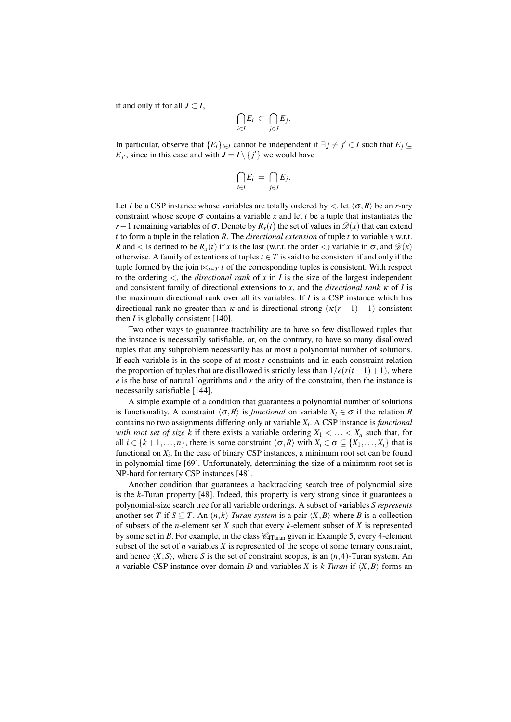if and only if for all  $J \subset I$ ,

$$
\bigcap_{i\in I}E_i\ \subset\ \bigcap_{j\in J}E_j.
$$

In particular, observe that  ${E_i}_{i \in I}$  cannot be independent if  $\exists j \neq j' \in I$  such that  $E_j \subseteq I$  $E_{j'}$ , since in this case and with  $J = I \setminus \{j'\}$  we would have

$$
\bigcap_{i\in I}E_i\,=\,\bigcap_{j\in J}E_j.
$$

Let *I* be a CSP instance whose variables are totally ordered by  $\langle$ . let  $\langle \sigma, R \rangle$  be an *r*-ary constraint whose scope  $\sigma$  contains a variable x and let t be a tuple that instantiates the *r*−1 remaining variables of  $\sigma$ . Denote by  $R_x(t)$  the set of values in  $\mathcal{D}(x)$  that can extend *t* to form a tuple in the relation *R*. The *directional extension* of tuple *t* to variable *x* w.r.t. *R* and  $\lt$  is defined to be  $R_x(t)$  if *x* is the last (w.r.t. the order  $\lt$ ) variable in  $\sigma$ , and  $\mathcal{D}(x)$ otherwise. A family of extentions of tuples  $t \in T$  is said to be consistent if and only if the tuple formed by the join  $\bowtie_{t \in T} t$  of the corresponding tuples is consistent. With respect to the ordering  $\lt$ , the *directional rank* of  $x$  in  $I$  is the size of the largest independent and consistent family of directional extensions to *x*, and the *directional rank* κ of *I* is the maximum directional rank over all its variables. If *I* is a CSP instance which has directional rank no greater than  $\kappa$  and is directional strong  $(\kappa(r-1)+1)$ -consistent then *I* is globally consistent [140].

Two other ways to guarantee tractability are to have so few disallowed tuples that the instance is necessarily satisfiable, or, on the contrary, to have so many disallowed tuples that any subproblem necessarily has at most a polynomial number of solutions. If each variable is in the scope of at most *t* constraints and in each constraint relation the proportion of tuples that are disallowed is strictly less than  $1/e(r(t-1)+1)$ , where *e* is the base of natural logarithms and *r* the arity of the constraint, then the instance is necessarily satisfiable [144].

A simple example of a condition that guarantees a polynomial number of solutions is functionality. A constraint  $\langle \sigma, R \rangle$  is *functional* on variable  $X_i \in \sigma$  if the relation *R* contains no two assignments differing only at variable *X<sup>i</sup>* . A CSP instance is *functional with root set of size k* if there exists a variable ordering  $X_1 < \ldots < X_n$  such that, for all  $i \in \{k+1,\ldots,n\}$ , there is some constraint  $\langle \sigma, R \rangle$  with  $X_i \in \sigma \subseteq \{X_1,\ldots,X_i\}$  that is functional on  $X_i$ . In the case of binary CSP instances, a minimum root set can be found in polynomial time [69]. Unfortunately, determining the size of a minimum root set is NP-hard for ternary CSP instances [48].

Another condition that guarantees a backtracking search tree of polynomial size is the *k*-Turan property [48]. Indeed, this property is very strong since it guarantees a polynomial-size search tree for all variable orderings. A subset of variables *S represents* another set *T* if  $S \subseteq T$ . An  $(n, k)$ -*Turan system* is a pair  $\langle X, B \rangle$  where *B* is a collection of subsets of the *n*-element set *X* such that every *k*-element subset of *X* is represented by some set in *B*. For example, in the class  $\mathcal{C}_{4Turan}$  given in Example 5, every 4-element subset of the set of *n* variables *X* is represented of the scope of some ternary constraint, and hence  $\langle X, S \rangle$ , where *S* is the set of constraint scopes, is an  $(n, 4)$ -Turan system. An *n*-variable CSP instance over domain *D* and variables *X* is *k*-*Turan* if  $\langle X, B \rangle$  forms an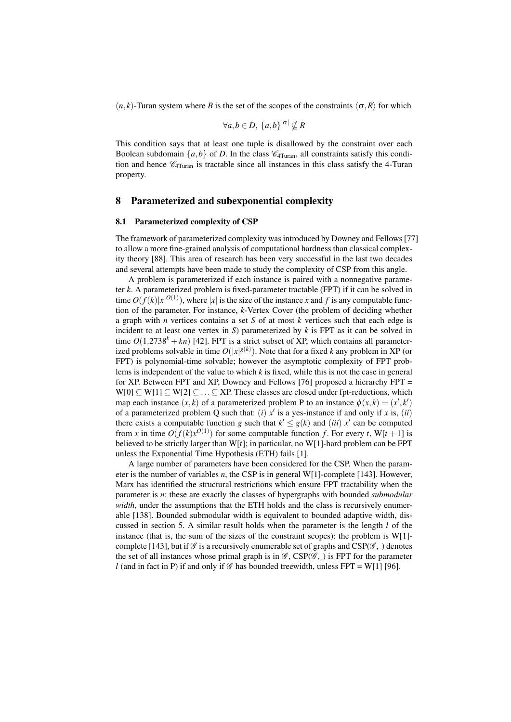$(n, k)$ -Turan system where *B* is the set of the scopes of the constraints  $\langle \sigma, R \rangle$  for which

$$
\forall a, b \in D, \, \{a, b\}^{|\sigma|} \nsubseteq R
$$

This condition says that at least one tuple is disallowed by the constraint over each Boolean subdomain  $\{a,b\}$  of *D*. In the class  $\mathcal{C}_{4Turan}$ , all constraints satisfy this condition and hence  $\mathcal{C}_{4\text{Turn}}$  is tractable since all instances in this class satisfy the 4-Turan property.

# 8 Parameterized and subexponential complexity

## 8.1 Parameterized complexity of CSP

The framework of parameterized complexity was introduced by Downey and Fellows [77] to allow a more fine-grained analysis of computational hardness than classical complexity theory [88]. This area of research has been very successful in the last two decades and several attempts have been made to study the complexity of CSP from this angle.

A problem is parameterized if each instance is paired with a nonnegative parameter *k*. A parameterized problem is fixed-parameter tractable (FPT) if it can be solved in time  $O(f(k)|x|^{O(1)})$ , where  $|x|$  is the size of the instance *x* and *f* is any computable function of the parameter. For instance, *k*-Vertex Cover (the problem of deciding whether a graph with *n* vertices contains a set *S* of at most *k* vertices such that each edge is incident to at least one vertex in *S*) parameterized by *k* is FPT as it can be solved in time  $O(1.2738<sup>k</sup> + kn)$  [42]. FPT is a strict subset of XP, which contains all parameterized problems solvable in time  $O(|x|^{g(k)})$ . Note that for a fixed *k* any problem in XP (or FPT) is polynomial-time solvable; however the asymptotic complexity of FPT problems is independent of the value to which *k* is fixed, while this is not the case in general for XP. Between FPT and XP, Downey and Fellows [76] proposed a hierarchy FPT =  $W[0] \subseteq W[1] \subseteq W[2] \subseteq \ldots \subseteq XP$ . These classes are closed under fpt-reductions, which map each instance  $(x, k)$  of a parameterized problem P to an instance  $\phi(x, k) = (x', k')$ of a parameterized problem Q such that:  $(i) x'$  is a yes-instance if and only if *x* is,  $(ii)$ there exists a computable function *g* such that  $k' \leq g(k)$  and *(iii)*  $x'$  can be computed from *x* in time  $O(f(k)x^{O(1)})$  for some computable function *f*. For every *t*, W[*t* + 1] is believed to be strictly larger than W[*t*]; in particular, no W[1]-hard problem can be FPT unless the Exponential Time Hypothesis (ETH) fails [1].

A large number of parameters have been considered for the CSP. When the parameter is the number of variables *n*, the CSP is in general W[1]-complete [143]. However, Marx has identified the structural restrictions which ensure FPT tractability when the parameter is *n*: these are exactly the classes of hypergraphs with bounded *submodular width*, under the assumptions that the ETH holds and the class is recursively enumerable [138]. Bounded submodular width is equivalent to bounded adaptive width, discussed in section 5. A similar result holds when the parameter is the length *l* of the instance (that is, the sum of the sizes of the constraint scopes): the problem is  $W[1]$ complete [143], but if  $\mathscr G$  is a recursively enumerable set of graphs and CSP( $\mathscr G$ , ) denotes the set of all instances whose primal graph is in  $\mathscr{G}$ , CSP( $\mathscr{G}$ , ) is FPT for the parameter *l* (and in fact in P) if and only if  $\mathcal G$  has bounded treewidth, unless FPT = W[1] [96].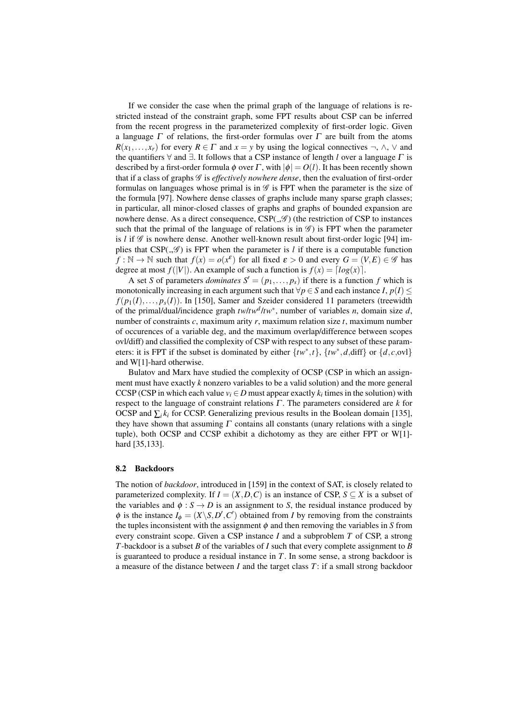If we consider the case when the primal graph of the language of relations is restricted instead of the constraint graph, some FPT results about CSP can be inferred from the recent progress in the parameterized complexity of first-order logic. Given a language  $\Gamma$  of relations, the first-order formulas over  $\Gamma$  are built from the atoms  $R(x_1,...,x_r)$  for every  $R \in \Gamma$  and  $x = y$  by using the logical connectives  $\neg$ ,  $\wedge$ ,  $\vee$  and the quantifiers  $\forall$  and  $\exists$ . It follows that a CSP instance of length *l* over a language  $\Gamma$  is described by a first-order formula  $\phi$  over  $\Gamma$ , with  $|\phi| = O(l)$ . It has been recently shown that if a class of graphs G is *effectively nowhere dense*, then the evaluation of first-order formulas on languages whose primal is in  $\mathscr G$  is FPT when the parameter is the size of the formula [97]. Nowhere dense classes of graphs include many sparse graph classes; in particular, all minor-closed classes of graphs and graphs of bounded expansion are nowhere dense. As a direct consequence,  $CSP(\mathcal{A})$  (the restriction of CSP to instances such that the primal of the language of relations is in  $\mathscr{G}$  is FPT when the parameter is *l* if  $\mathscr G$  is nowhere dense. Another well-known result about first-order logic [94] implies that  $CSP(\mathcal{A})$  is FPT when the parameter is *l* if there is a computable function  $f : \mathbb{N} \to \mathbb{N}$  such that  $f(x) = o(x^{\varepsilon})$  for all fixed  $\varepsilon > 0$  and every  $G = (V, E) \in \mathscr{G}$  has degree at most  $f(|V|)$ . An example of such a function is  $f(x) = \lfloor log(x) \rfloor$ .

A set *S* of parameters *dominates*  $S' = (p_1, \ldots, p_s)$  if there is a function *f* which is monotonically increasing in each argument such that  $\forall p \in S$  and each instance *I*,  $p(I) \leq$  $f(p_1(I),..., p_s(I))$ . In [150], Samer and Szeider considered 11 parameters (treewidth of the primal/dual/incidence graph *tw*/*tw<sup>d</sup>* /*tw*<sup>∗</sup> , number of variables *n*, domain size *d*, number of constraints *c*, maximum arity *r*, maximum relation size *t*, maximum number of occurences of a variable deg, and the maximum overlap/difference between scopes ovl/diff) and classified the complexity of CSP with respect to any subset of these parameters: it is FPT if the subset is dominated by either  $\{tw^*, t\}$ ,  $\{tw^*, d, diff\}$  or  $\{d, c, \text{ovl}\}$ and W[1]-hard otherwise.

Bulatov and Marx have studied the complexity of OCSP (CSP in which an assignment must have exactly *k* nonzero variables to be a valid solution) and the more general CCSP (CSP in which each value  $v_i \in D$  must appear exactly  $k_i$  times in the solution) with respect to the language of constraint relations Γ . The parameters considered are *k* for OCSP and  $\sum_i k_i$  for CCSP. Generalizing previous results in the Boolean domain [135], they have shown that assuming  $\Gamma$  contains all constants (unary relations with a single tuple), both OCSP and CCSP exhibit a dichotomy as they are either FPT or W[1] hard [35,133].

#### 8.2 Backdoors

The notion of *backdoor*, introduced in [159] in the context of SAT, is closely related to parameterized complexity. If  $I = (X, D, C)$  is an instance of CSP,  $S \subseteq X$  is a subset of the variables and  $\phi : S \to D$  is an assignment to *S*, the residual instance produced by  $\phi$  is the instance  $I_{\phi} = (X \backslash S, D', C')$  obtained from *I* by removing from the constraints the tuples inconsistent with the assignment  $\phi$  and then removing the variables in *S* from every constraint scope. Given a CSP instance *I* and a subproblem *T* of CSP, a strong *T*-backdoor is a subset *B* of the variables of *I* such that every complete assignment to *B* is guaranteed to produce a residual instance in *T*. In some sense, a strong backdoor is a measure of the distance between *I* and the target class *T*: if a small strong backdoor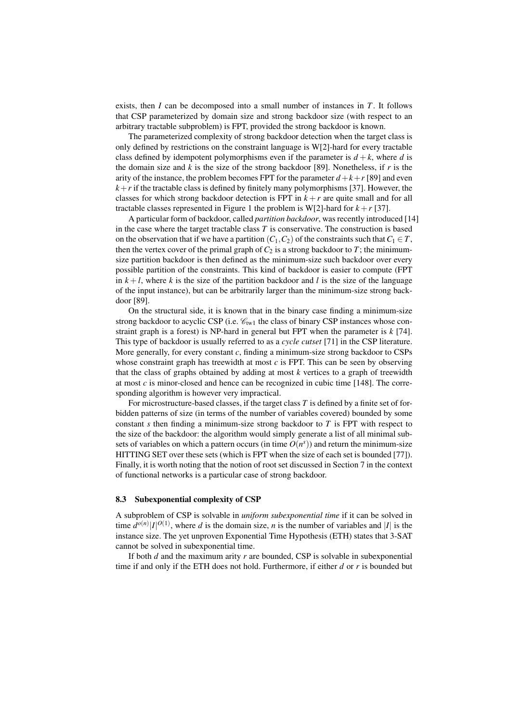exists, then *I* can be decomposed into a small number of instances in *T*. It follows that CSP parameterized by domain size and strong backdoor size (with respect to an arbitrary tractable subproblem) is FPT, provided the strong backdoor is known.

The parameterized complexity of strong backdoor detection when the target class is only defined by restrictions on the constraint language is W[2]-hard for every tractable class defined by idempotent polymorphisms even if the parameter is  $d + k$ , where *d* is the domain size and  $k$  is the size of the strong backdoor [89]. Nonetheless, if  $r$  is the arity of the instance, the problem becomes FPT for the parameter  $d+k+r$  [89] and even  $k+r$  if the tractable class is defined by finitely many polymorphisms [37]. However, the classes for which strong backdoor detection is FPT in  $k + r$  are quite small and for all tractable classes represented in Figure 1 the problem is W[2]-hard for  $k+r$  [37].

A particular form of backdoor, called *partition backdoor*, was recently introduced [14] in the case where the target tractable class *T* is conservative. The construction is based on the observation that if we have a partition  $(C_1, C_2)$  of the constraints such that  $C_1 \in T$ , then the vertex cover of the primal graph of  $C_2$  is a strong backdoor to  $T$ ; the minimumsize partition backdoor is then defined as the minimum-size such backdoor over every possible partition of the constraints. This kind of backdoor is easier to compute (FPT in  $k+l$ , where k is the size of the partition backdoor and l is the size of the language of the input instance), but can be arbitrarily larger than the minimum-size strong backdoor [89].

On the structural side, it is known that in the binary case finding a minimum-size strong backdoor to acyclic CSP (i.e.  $\mathcal{C}_{tw1}$  the class of binary CSP instances whose constraint graph is a forest) is NP-hard in general but FPT when the parameter is *k* [74]. This type of backdoor is usually referred to as a *cycle cutset* [71] in the CSP literature. More generally, for every constant *c*, finding a minimum-size strong backdoor to CSPs whose constraint graph has treewidth at most  $c$  is FPT. This can be seen by observing that the class of graphs obtained by adding at most *k* vertices to a graph of treewidth at most *c* is minor-closed and hence can be recognized in cubic time [148]. The corresponding algorithm is however very impractical.

For microstructure-based classes, if the target class *T* is defined by a finite set of forbidden patterns of size (in terms of the number of variables covered) bounded by some constant *s* then finding a minimum-size strong backdoor to *T* is FPT with respect to the size of the backdoor: the algorithm would simply generate a list of all minimal subsets of variables on which a pattern occurs (in time  $O(n<sup>s</sup>)$ ) and return the minimum-size HITTING SET over these sets (which is FPT when the size of each set is bounded [77]). Finally, it is worth noting that the notion of root set discussed in Section 7 in the context of functional networks is a particular case of strong backdoor.

#### 8.3 Subexponential complexity of CSP

A subproblem of CSP is solvable in *uniform subexponential time* if it can be solved in time  $d^{o(n)} |I|^{O(1)}$ , where *d* is the domain size, *n* is the number of variables and |*I*| is the instance size. The yet unproven Exponential Time Hypothesis (ETH) states that 3-SAT cannot be solved in subexponential time.

If both *d* and the maximum arity *r* are bounded, CSP is solvable in subexponential time if and only if the ETH does not hold. Furthermore, if either *d* or *r* is bounded but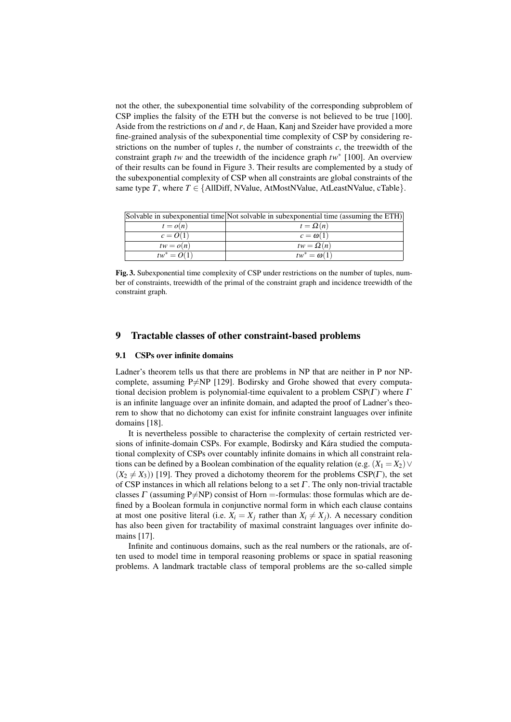not the other, the subexponential time solvability of the corresponding subproblem of CSP implies the falsity of the ETH but the converse is not believed to be true [100]. Aside from the restrictions on *d* and *r*, de Haan, Kanj and Szeider have provided a more fine-grained analysis of the subexponential time complexity of CSP by considering restrictions on the number of tuples  $t$ , the number of constraints  $c$ , the treewidth of the constraint graph *tw* and the treewidth of the incidence graph *tw*<sup>∗</sup> [100]. An overview of their results can be found in Figure 3. Their results are complemented by a study of the subexponential complexity of CSP when all constraints are global constraints of the same type *T*, where  $T \in \{AllDiff, NValue, AtMostNValue, AtLeastNValue, CTable\}.$ 

|               | Solvable in subexponential time Not solvable in subexponential time (assuming the $ETH$ ) |
|---------------|-------------------------------------------------------------------------------------------|
| $t = o(n)$    | $t = \Omega(n)$                                                                           |
| $c=O(1)$      | $c = \omega(1)$                                                                           |
| $tw = o(n)$   | $tw = \Omega(n)$                                                                          |
| $tw^* = O(1)$ | $tw^* = \omega(1)$                                                                        |

Fig. 3. Subexponential time complexity of CSP under restrictions on the number of tuples, number of constraints, treewidth of the primal of the constraint graph and incidence treewidth of the constraint graph.

# 9 Tractable classes of other constraint-based problems

#### 9.1 CSPs over infinite domains

Ladner's theorem tells us that there are problems in NP that are neither in P nor NPcomplete, assuming P $\neq$ NP [129]. Bodirsky and Grohe showed that every computational decision problem is polynomial-time equivalent to a problem  $CSP(\Gamma)$  where  $\Gamma$ is an infinite language over an infinite domain, and adapted the proof of Ladner's theorem to show that no dichotomy can exist for infinite constraint languages over infinite domains [18].

It is nevertheless possible to characterise the complexity of certain restricted versions of infinite-domain CSPs. For example, Bodirsky and Kára studied the computational complexity of CSPs over countably infinite domains in which all constraint relations can be defined by a Boolean combination of the equality relation (e.g.  $(X_1 = X_2)$ )  $(X_2 \neq X_3)$ ) [19]. They proved a dichotomy theorem for the problems CSP(Γ), the set of CSP instances in which all relations belong to a set  $\Gamma$ . The only non-trivial tractable classes  $\Gamma$  (assuming P $\neq$ NP) consist of Horn =-formulas: those formulas which are defined by a Boolean formula in conjunctive normal form in which each clause contains at most one positive literal (i.e.  $X_i = X_j$  rather than  $X_i \neq X_j$ ). A necessary condition has also been given for tractability of maximal constraint languages over infinite domains [17].

Infinite and continuous domains, such as the real numbers or the rationals, are often used to model time in temporal reasoning problems or space in spatial reasoning problems. A landmark tractable class of temporal problems are the so-called simple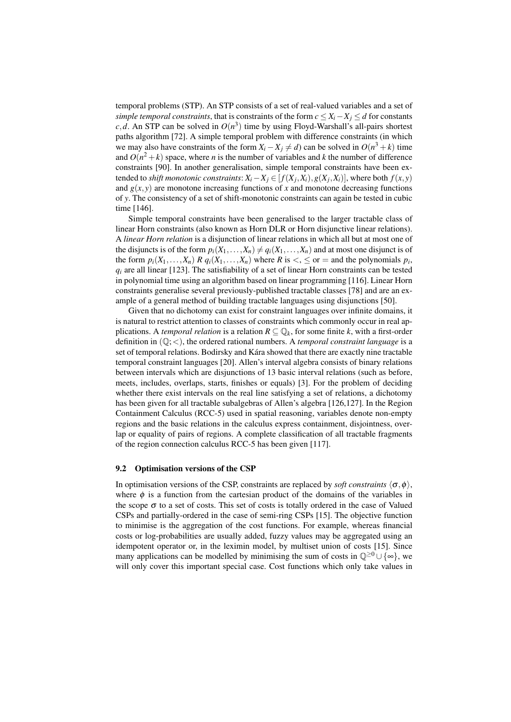temporal problems (STP). An STP consists of a set of real-valued variables and a set of *simple temporal constraints*, that is constraints of the form  $c \leq X_i - X_j \leq d$  for constants *c*,*d*. An STP can be solved in  $O(n^3)$  time by using Floyd-Warshall's all-pairs shortest paths algorithm [72]. A simple temporal problem with difference constraints (in which we may also have constraints of the form  $X_i - X_j \neq d$ ) can be solved in  $O(n^3 + k)$  time and  $O(n^2 + k)$  space, where *n* is the number of variables and *k* the number of difference constraints [90]. In another generalisation, simple temporal constraints have been extended to *shift monotonic constraints*:  $X_i - X_j \in [f(X_j, X_i), g(X_j, X_i)]$ , where both  $f(x, y)$ and  $g(x, y)$  are monotone increasing functions of x and monotone decreasing functions of *y*. The consistency of a set of shift-monotonic constraints can again be tested in cubic time [146].

Simple temporal constraints have been generalised to the larger tractable class of linear Horn constraints (also known as Horn DLR or Horn disjunctive linear relations). A *linear Horn relation* is a disjunction of linear relations in which all but at most one of the disjuncts is of the form  $p_i(X_1,...,X_n) \neq q_i(X_1,...,X_n)$  and at most one disjunct is of the form  $p_i(X_1,...,X_n)$  *R*  $q_i(X_1,...,X_n)$  where *R* is  $\lt$ ,  $\leq$  or  $=$  and the polynomials  $p_i$ ,  $q_i$  are all linear [123]. The satisfiability of a set of linear Horn constraints can be tested in polynomial time using an algorithm based on linear programming [116]. Linear Horn constraints generalise several previously-published tractable classes [78] and are an example of a general method of building tractable languages using disjunctions [50].

Given that no dichotomy can exist for constraint languages over infinite domains, it is natural to restrict attention to classes of constraints which commonly occur in real applications. A *temporal relation* is a relation  $R \subseteq \mathbb{Q}_k$ , for some finite k, with a first-order definition in (Q;<), the ordered rational numbers. A *temporal constraint language* is a set of temporal relations. Bodirsky and Kára showed that there are exactly nine tractable temporal constraint languages [20]. Allen's interval algebra consists of binary relations between intervals which are disjunctions of 13 basic interval relations (such as before, meets, includes, overlaps, starts, finishes or equals) [3]. For the problem of deciding whether there exist intervals on the real line satisfying a set of relations, a dichotomy has been given for all tractable subalgebras of Allen's algebra [126,127]. In the Region Containment Calculus (RCC-5) used in spatial reasoning, variables denote non-empty regions and the basic relations in the calculus express containment, disjointness, overlap or equality of pairs of regions. A complete classification of all tractable fragments of the region connection calculus RCC-5 has been given [117].

## 9.2 Optimisation versions of the CSP

In optimisation versions of the CSP, constraints are replaced by *soft constraints*  $\langle \sigma, \phi \rangle$ , where  $\phi$  is a function from the cartesian product of the domains of the variables in the scope  $\sigma$  to a set of costs. This set of costs is totally ordered in the case of Valued CSPs and partially-ordered in the case of semi-ring CSPs [15]. The objective function to minimise is the aggregation of the cost functions. For example, whereas financial costs or log-probabilities are usually added, fuzzy values may be aggregated using an idempotent operator or, in the leximin model, by multiset union of costs [15]. Since many applications can be modelled by minimising the sum of costs in  $\mathbb{Q}^{\geq 0} \cup \{\infty\}$ , we will only cover this important special case. Cost functions which only take values in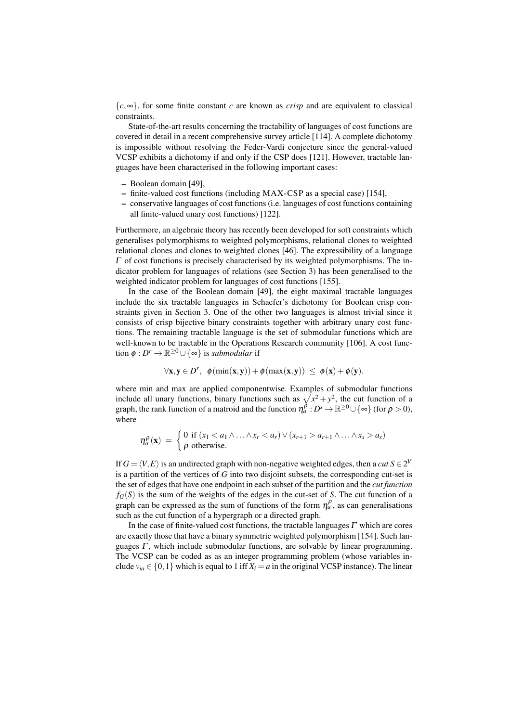{*c*,∞}, for some finite constant *c* are known as *crisp* and are equivalent to classical constraints.

State-of-the-art results concerning the tractability of languages of cost functions are covered in detail in a recent comprehensive survey article [114]. A complete dichotomy is impossible without resolving the Feder-Vardi conjecture since the general-valued VCSP exhibits a dichotomy if and only if the CSP does [121]. However, tractable languages have been characterised in the following important cases:

- Boolean domain [49],
- finite-valued cost functions (including MAX-CSP as a special case) [154],
- conservative languages of cost functions (i.e. languages of cost functions containing all finite-valued unary cost functions) [122].

Furthermore, an algebraic theory has recently been developed for soft constraints which generalises polymorphisms to weighted polymorphisms, relational clones to weighted relational clones and clones to weighted clones [46]. The expressibility of a language  $\Gamma$  of cost functions is precisely characterised by its weighted polymorphisms. The indicator problem for languages of relations (see Section 3) has been generalised to the weighted indicator problem for languages of cost functions [155].

In the case of the Boolean domain [49], the eight maximal tractable languages include the six tractable languages in Schaefer's dichotomy for Boolean crisp constraints given in Section 3. One of the other two languages is almost trivial since it consists of crisp bijective binary constraints together with arbitrary unary cost functions. The remaining tractable language is the set of submodular functions which are well-known to be tractable in the Operations Research community [106]. A cost function  $\phi: D^r \to \mathbb{R}^{\geq 0} \cup \{\infty\}$  is *submodular* if

$$
\forall x, y \in D^r, \ \ \phi(\min(x, y)) + \phi(\max(x, y)) \ \leq \ \phi(x) + \phi(y).
$$

where min and max are applied componentwise. Examples of submodular functions include all unary functions, binary functions such as  $\sqrt{x^2 + y^2}$ , the cut function of a graph, the rank function of a matroid and the function  $\eta_a^{\beta}: D^s \to \mathbb{R}^{\geq 0} \cup \{\infty\}$  (for  $\rho > 0$ ), where

$$
\eta_a^{\rho}(\mathbf{x}) = \begin{cases} 0 \text{ if } (x_1 < a_1 \land \ldots \land x_r < a_r) \lor (x_{r+1} > a_{r+1} \land \ldots \land x_s > a_s) \\ \rho \text{ otherwise.} \end{cases}
$$

If  $G = \langle V, E \rangle$  is an undirected graph with non-negative weighted edges, then a *cut*  $S \in 2^V$ is a partition of the vertices of *G* into two disjoint subsets, the corresponding cut-set is the set of edges that have one endpoint in each subset of the partition and the *cut function*  $f_G(S)$  is the sum of the weights of the edges in the cut-set of *S*. The cut function of a graph can be expressed as the sum of functions of the form  $\eta_a^{\rho}$ , as can generalisations such as the cut function of a hypergraph or a directed graph.

In the case of finite-valued cost functions, the tractable languages  $\Gamma$  which are cores are exactly those that have a binary symmetric weighted polymorphism [154]. Such languages  $\Gamma$ , which include submodular functions, are solvable by linear programming. The VCSP can be coded as as an integer programming problem (whose variables include  $v_{ia} \in \{0,1\}$  which is equal to 1 iff  $X_i = a$  in the original VCSP instance). The linear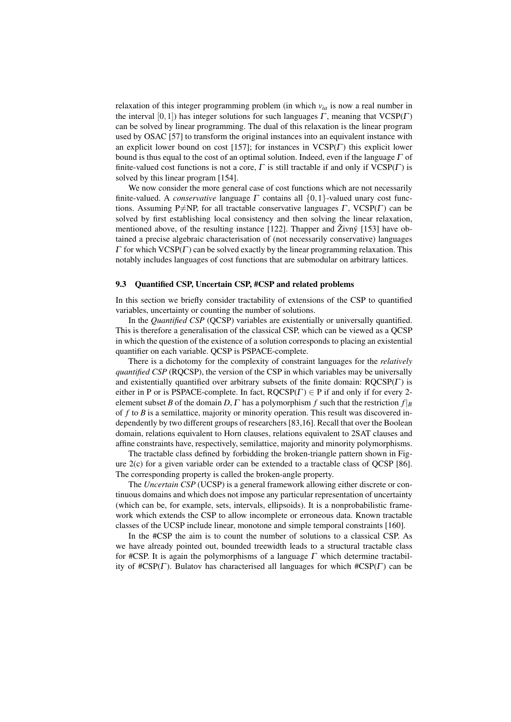relaxation of this integer programming problem (in which *via* is now a real number in the interval  $[0,1]$ ) has integer solutions for such languages  $\Gamma$ , meaning that VCSP( $\Gamma$ ) can be solved by linear programming. The dual of this relaxation is the linear program used by OSAC [57] to transform the original instances into an equivalent instance with an explicit lower bound on cost [157]; for instances in  $VCSP(\Gamma)$  this explicit lower bound is thus equal to the cost of an optimal solution. Indeed, even if the language  $\Gamma$  of finite-valued cost functions is not a core,  $\Gamma$  is still tractable if and only if  $VCSP(\Gamma)$  is solved by this linear program [154].

We now consider the more general case of cost functions which are not necessarily finite-valued. A *conservative* language Γ contains all {0,1}-valued unary cost functions. Assuming P $\neq$ NP, for all tractable conservative languages  $\Gamma$ , VCSP( $\Gamma$ ) can be solved by first establishing local consistency and then solving the linear relaxation, mentioned above, of the resulting instance [122]. Thapper and  $\check{Z}$ ivný [153] have obtained a precise algebraic characterisation of (not necessarily conservative) languages  $\Gamma$  for which VCSP( $\Gamma$ ) can be solved exactly by the linear programming relaxation. This notably includes languages of cost functions that are submodular on arbitrary lattices.

#### 9.3 Quantified CSP, Uncertain CSP, #CSP and related problems

In this section we briefly consider tractability of extensions of the CSP to quantified variables, uncertainty or counting the number of solutions.

In the *Quantified CSP* (QCSP) variables are existentially or universally quantified. This is therefore a generalisation of the classical CSP, which can be viewed as a QCSP in which the question of the existence of a solution corresponds to placing an existential quantifier on each variable. QCSP is PSPACE-complete.

There is a dichotomy for the complexity of constraint languages for the *relatively quantified CSP* (RQCSP), the version of the CSP in which variables may be universally and existentially quantified over arbitrary subsets of the finite domain:  $ROCSP(\Gamma)$  is either in P or is PSPACE-complete. In fact,  $ROCSP(\Gamma) \in P$  if and only if for every 2element subset *B* of the domain *D*,  $\Gamma$  has a polymorphism  $f$  such that the restriction  $f|_B$ of *f* to *B* is a semilattice, majority or minority operation. This result was discovered independently by two different groups of researchers [83,16]. Recall that over the Boolean domain, relations equivalent to Horn clauses, relations equivalent to 2SAT clauses and affine constraints have, respectively, semilattice, majority and minority polymorphisms.

The tractable class defined by forbidding the broken-triangle pattern shown in Figure 2(c) for a given variable order can be extended to a tractable class of QCSP [86]. The corresponding property is called the broken-angle property.

The *Uncertain CSP* (UCSP) is a general framework allowing either discrete or continuous domains and which does not impose any particular representation of uncertainty (which can be, for example, sets, intervals, ellipsoids). It is a nonprobabilistic framework which extends the CSP to allow incomplete or erroneous data. Known tractable classes of the UCSP include linear, monotone and simple temporal constraints [160].

In the #CSP the aim is to count the number of solutions to a classical CSP. As we have already pointed out, bounded treewidth leads to a structural tractable class for #CSP. It is again the polymorphisms of a language  $\Gamma$  which determine tractability of  $\#CSP(\Gamma)$ . Bulatov has characterised all languages for which  $\#CSP(\Gamma)$  can be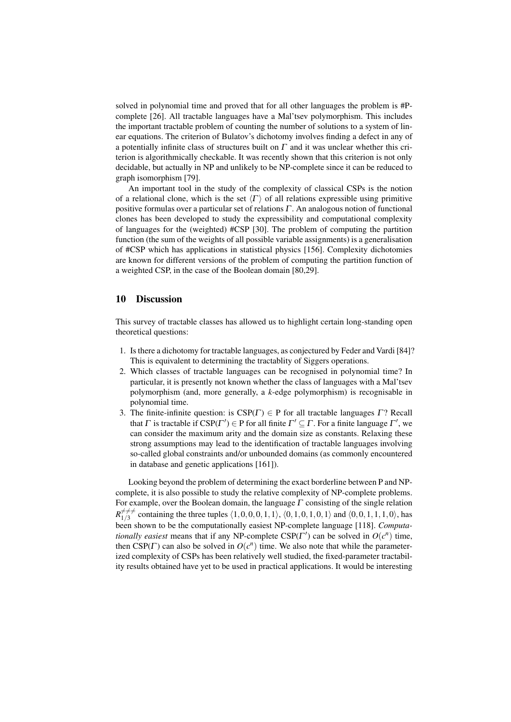solved in polynomial time and proved that for all other languages the problem is #Pcomplete [26]. All tractable languages have a Mal'tsev polymorphism. This includes the important tractable problem of counting the number of solutions to a system of linear equations. The criterion of Bulatov's dichotomy involves finding a defect in any of a potentially infinite class of structures built on  $\Gamma$  and it was unclear whether this criterion is algorithmically checkable. It was recently shown that this criterion is not only decidable, but actually in NP and unlikely to be NP-complete since it can be reduced to graph isomorphism [79].

An important tool in the study of the complexity of classical CSPs is the notion of a relational clone, which is the set  $\langle \Gamma \rangle$  of all relations expressible using primitive positive formulas over a particular set of relations Γ . An analogous notion of functional clones has been developed to study the expressibility and computational complexity of languages for the (weighted) #CSP [30]. The problem of computing the partition function (the sum of the weights of all possible variable assignments) is a generalisation of #CSP which has applications in statistical physics [156]. Complexity dichotomies are known for different versions of the problem of computing the partition function of a weighted CSP, in the case of the Boolean domain [80,29].

# 10 Discussion

This survey of tractable classes has allowed us to highlight certain long-standing open theoretical questions:

- 1. Is there a dichotomy for tractable languages, as conjectured by Feder and Vardi [84]? This is equivalent to determining the tractablity of Siggers operations.
- 2. Which classes of tractable languages can be recognised in polynomial time? In particular, it is presently not known whether the class of languages with a Mal'tsev polymorphism (and, more generally, a *k*-edge polymorphism) is recognisable in polynomial time.
- 3. The finite-infinite question: is  $CSP(\Gamma) \in P$  for all tractable languages  $\Gamma$ ? Recall that  $\Gamma$  is tractable if  $CSP(\Gamma') \in P$  for all finite  $\Gamma' \subseteq \Gamma$ . For a finite language  $\Gamma'$ , we can consider the maximum arity and the domain size as constants. Relaxing these strong assumptions may lead to the identification of tractable languages involving so-called global constraints and/or unbounded domains (as commonly encountered in database and genetic applications [161]).

Looking beyond the problem of determining the exact borderline between P and NPcomplete, it is also possible to study the relative complexity of NP-complete problems. For example, over the Boolean domain, the language  $\Gamma$  consisting of the single relation  $R_{1/3}^{\neq \neq \neq}$  $\zeta_{1/3}^{\neq \neq \neq}$  containing the three tuples  $\langle 1,0,0,0,1,1 \rangle$ ,  $\langle 0,1,0,1,0,1 \rangle$  and  $\langle 0,0,1,1,1,0 \rangle$ , has been shown to be the computationally easiest NP-complete language [118]. *Computationally easiest* means that if any NP-complete  $CSP(\Gamma')$  can be solved in  $O(c^n)$  time, then  $CSP(\Gamma)$  can also be solved in  $O(c^n)$  time. We also note that while the parameterized complexity of CSPs has been relatively well studied, the fixed-parameter tractability results obtained have yet to be used in practical applications. It would be interesting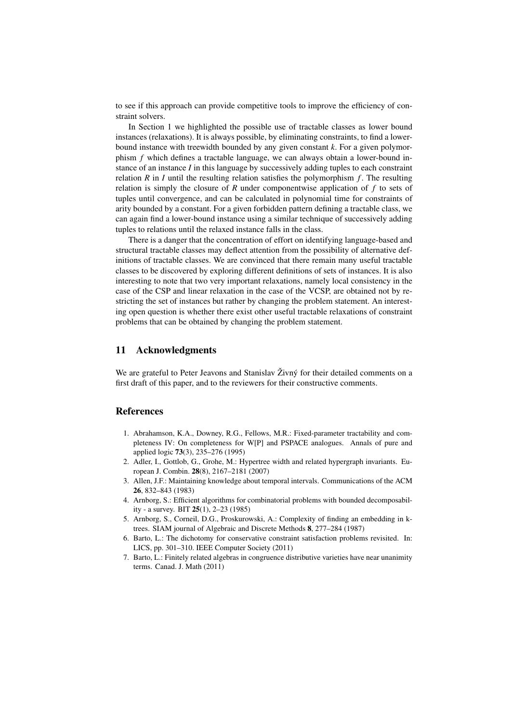to see if this approach can provide competitive tools to improve the efficiency of constraint solvers.

In Section 1 we highlighted the possible use of tractable classes as lower bound instances (relaxations). It is always possible, by eliminating constraints, to find a lowerbound instance with treewidth bounded by any given constant *k*. For a given polymorphism *f* which defines a tractable language, we can always obtain a lower-bound instance of an instance *I* in this language by successively adding tuples to each constraint relation  $R$  in  $I$  until the resulting relation satisfies the polymorphism  $f$ . The resulting relation is simply the closure of *R* under componentwise application of *f* to sets of tuples until convergence, and can be calculated in polynomial time for constraints of arity bounded by a constant. For a given forbidden pattern defining a tractable class, we can again find a lower-bound instance using a similar technique of successively adding tuples to relations until the relaxed instance falls in the class.

There is a danger that the concentration of effort on identifying language-based and structural tractable classes may deflect attention from the possibility of alternative definitions of tractable classes. We are convinced that there remain many useful tractable classes to be discovered by exploring different definitions of sets of instances. It is also interesting to note that two very important relaxations, namely local consistency in the case of the CSP and linear relaxation in the case of the VCSP, are obtained not by restricting the set of instances but rather by changing the problem statement. An interesting open question is whether there exist other useful tractable relaxations of constraint problems that can be obtained by changing the problem statement.

## 11 Acknowledgments

We are grateful to Peter Jeavons and Stanislav  $\check{Z}$ ivný for their detailed comments on a first draft of this paper, and to the reviewers for their constructive comments.

## References

- 1. Abrahamson, K.A., Downey, R.G., Fellows, M.R.: Fixed-parameter tractability and completeness IV: On completeness for W[P] and PSPACE analogues. Annals of pure and applied logic 73(3), 235–276 (1995)
- 2. Adler, I., Gottlob, G., Grohe, M.: Hypertree width and related hypergraph invariants. European J. Combin. 28(8), 2167–2181 (2007)
- 3. Allen, J.F.: Maintaining knowledge about temporal intervals. Communications of the ACM 26, 832–843 (1983)
- 4. Arnborg, S.: Efficient algorithms for combinatorial problems with bounded decomposability - a survey. BIT 25(1), 2–23 (1985)
- 5. Arnborg, S., Corneil, D.G., Proskurowski, A.: Complexity of finding an embedding in ktrees. SIAM journal of Algebraic and Discrete Methods 8, 277–284 (1987)
- 6. Barto, L.: The dichotomy for conservative constraint satisfaction problems revisited. In: LICS, pp. 301–310. IEEE Computer Society (2011)
- 7. Barto, L.: Finitely related algebras in congruence distributive varieties have near unanimity terms. Canad. J. Math (2011)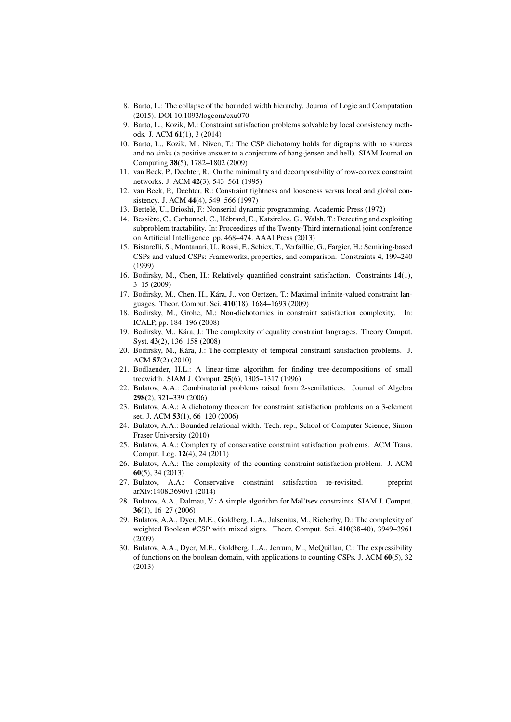- 8. Barto, L.: The collapse of the bounded width hierarchy. Journal of Logic and Computation (2015). DOI 10.1093/logcom/exu070
- 9. Barto, L., Kozik, M.: Constraint satisfaction problems solvable by local consistency methods. J. ACM 61(1), 3 (2014)
- 10. Barto, L., Kozik, M., Niven, T.: The CSP dichotomy holds for digraphs with no sources and no sinks (a positive answer to a conjecture of bang-jensen and hell). SIAM Journal on Computing 38(5), 1782–1802 (2009)
- 11. van Beek, P., Dechter, R.: On the minimality and decomposability of row-convex constraint networks. J. ACM 42(3), 543–561 (1995)
- 12. van Beek, P., Dechter, R.: Constraint tightness and looseness versus local and global consistency. J. ACM 44(4), 549–566 (1997)
- 13. Bertele, U., Brioshi, F.: Nonserial dynamic programming. Academic Press (1972) `
- 14. Bessière, C., Carbonnel, C., Hébrard, E., Katsirelos, G., Walsh, T.: Detecting and exploiting subproblem tractability. In: Proceedings of the Twenty-Third international joint conference on Artificial Intelligence, pp. 468–474. AAAI Press (2013)
- 15. Bistarelli, S., Montanari, U., Rossi, F., Schiex, T., Verfaillie, G., Fargier, H.: Semiring-based CSPs and valued CSPs: Frameworks, properties, and comparison. Constraints 4, 199–240 (1999)
- 16. Bodirsky, M., Chen, H.: Relatively quantified constraint satisfaction. Constraints 14(1), 3–15 (2009)
- 17. Bodirsky, M., Chen, H., Kara, J., von Oertzen, T.: Maximal infinite-valued constraint lan- ´ guages. Theor. Comput. Sci. 410(18), 1684–1693 (2009)
- 18. Bodirsky, M., Grohe, M.: Non-dichotomies in constraint satisfaction complexity. In: ICALP, pp. 184–196 (2008)
- 19. Bodirsky, M., Kára, J.: The complexity of equality constraint languages. Theory Comput. Syst. 43(2), 136–158 (2008)
- 20. Bodirsky, M., Kára, J.: The complexity of temporal constraint satisfaction problems. J. ACM 57(2) (2010)
- 21. Bodlaender, H.L.: A linear-time algorithm for finding tree-decompositions of small treewidth. SIAM J. Comput. 25(6), 1305–1317 (1996)
- 22. Bulatov, A.A.: Combinatorial problems raised from 2-semilattices. Journal of Algebra 298(2), 321–339 (2006)
- 23. Bulatov, A.A.: A dichotomy theorem for constraint satisfaction problems on a 3-element set. J. ACM 53(1), 66–120 (2006)
- 24. Bulatov, A.A.: Bounded relational width. Tech. rep., School of Computer Science, Simon Fraser University (2010)
- 25. Bulatov, A.A.: Complexity of conservative constraint satisfaction problems. ACM Trans. Comput. Log. 12(4), 24 (2011)
- 26. Bulatov, A.A.: The complexity of the counting constraint satisfaction problem. J. ACM 60(5), 34 (2013)
- 27. Bulatov, A.A.: Conservative constraint satisfaction re-revisited. preprint arXiv:1408.3690v1 (2014)
- 28. Bulatov, A.A., Dalmau, V.: A simple algorithm for Mal'tsev constraints. SIAM J. Comput. 36(1), 16–27 (2006)
- 29. Bulatov, A.A., Dyer, M.E., Goldberg, L.A., Jalsenius, M., Richerby, D.: The complexity of weighted Boolean #CSP with mixed signs. Theor. Comput. Sci. 410(38-40), 3949–3961 (2009)
- 30. Bulatov, A.A., Dyer, M.E., Goldberg, L.A., Jerrum, M., McQuillan, C.: The expressibility of functions on the boolean domain, with applications to counting CSPs. J. ACM  $60(5)$ , 32 (2013)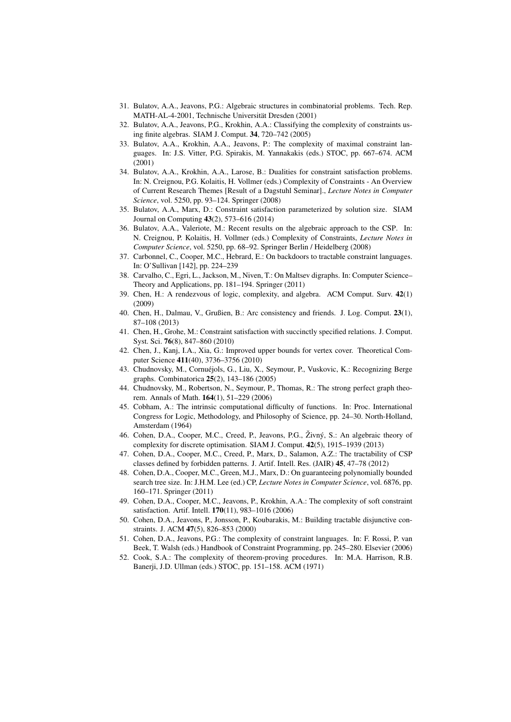- 31. Bulatov, A.A., Jeavons, P.G.: Algebraic structures in combinatorial problems. Tech. Rep. MATH-AL-4-2001, Technische Universität Dresden (2001)
- 32. Bulatov, A.A., Jeavons, P.G., Krokhin, A.A.: Classifying the complexity of constraints using finite algebras. SIAM J. Comput. 34, 720–742 (2005)
- 33. Bulatov, A.A., Krokhin, A.A., Jeavons, P.: The complexity of maximal constraint languages. In: J.S. Vitter, P.G. Spirakis, M. Yannakakis (eds.) STOC, pp. 667–674. ACM (2001)
- 34. Bulatov, A.A., Krokhin, A.A., Larose, B.: Dualities for constraint satisfaction problems. In: N. Creignou, P.G. Kolaitis, H. Vollmer (eds.) Complexity of Constraints - An Overview of Current Research Themes [Result of a Dagstuhl Seminar]., *Lecture Notes in Computer Science*, vol. 5250, pp. 93–124. Springer (2008)
- 35. Bulatov, A.A., Marx, D.: Constraint satisfaction parameterized by solution size. SIAM Journal on Computing 43(2), 573–616 (2014)
- 36. Bulatov, A.A., Valeriote, M.: Recent results on the algebraic approach to the CSP. In: N. Creignou, P. Kolaitis, H. Vollmer (eds.) Complexity of Constraints, *Lecture Notes in Computer Science*, vol. 5250, pp. 68–92. Springer Berlin / Heidelberg (2008)
- 37. Carbonnel, C., Cooper, M.C., Hebrard, E.: On backdoors to tractable constraint languages. In: O'Sullivan [142], pp. 224–239
- 38. Carvalho, C., Egri, L., Jackson, M., Niven, T.: On Maltsev digraphs. In: Computer Science– Theory and Applications, pp. 181–194. Springer (2011)
- 39. Chen, H.: A rendezvous of logic, complexity, and algebra. ACM Comput. Surv. 42(1) (2009)
- 40. Chen, H., Dalmau, V., Grußien, B.: Arc consistency and friends. J. Log. Comput. 23(1), 87–108 (2013)
- 41. Chen, H., Grohe, M.: Constraint satisfaction with succinctly specified relations. J. Comput. Syst. Sci. 76(8), 847–860 (2010)
- 42. Chen, J., Kanj, I.A., Xia, G.: Improved upper bounds for vertex cover. Theoretical Computer Science 411(40), 3736–3756 (2010)
- 43. Chudnovsky, M., Cornuéjols, G., Liu, X., Seymour, P., Vuskovic, K.: Recognizing Berge graphs. Combinatorica 25(2), 143–186 (2005)
- 44. Chudnovsky, M., Robertson, N., Seymour, P., Thomas, R.: The strong perfect graph theorem. Annals of Math. 164(1), 51–229 (2006)
- 45. Cobham, A.: The intrinsic computational difficulty of functions. In: Proc. International Congress for Logic, Methodology, and Philosophy of Science, pp. 24–30. North-Holland, Amsterdam (1964)
- 46. Cohen, D.A., Cooper, M.C., Creed, P., Jeavons, P.G., Živný, S.: An algebraic theory of complexity for discrete optimisation. SIAM J. Comput. 42(5), 1915–1939 (2013)
- 47. Cohen, D.A., Cooper, M.C., Creed, P., Marx, D., Salamon, A.Z.: The tractability of CSP classes defined by forbidden patterns. J. Artif. Intell. Res. (JAIR) 45, 47–78 (2012)
- 48. Cohen, D.A., Cooper, M.C., Green, M.J., Marx, D.: On guaranteeing polynomially bounded search tree size. In: J.H.M. Lee (ed.) CP, *Lecture Notes in Computer Science*, vol. 6876, pp. 160–171. Springer (2011)
- 49. Cohen, D.A., Cooper, M.C., Jeavons, P., Krokhin, A.A.: The complexity of soft constraint satisfaction. Artif. Intell. 170(11), 983–1016 (2006)
- 50. Cohen, D.A., Jeavons, P., Jonsson, P., Koubarakis, M.: Building tractable disjunctive constraints. J. ACM 47(5), 826–853 (2000)
- 51. Cohen, D.A., Jeavons, P.G.: The complexity of constraint languages. In: F. Rossi, P. van Beek, T. Walsh (eds.) Handbook of Constraint Programming, pp. 245–280. Elsevier (2006)
- 52. Cook, S.A.: The complexity of theorem-proving procedures. In: M.A. Harrison, R.B. Banerji, J.D. Ullman (eds.) STOC, pp. 151–158. ACM (1971)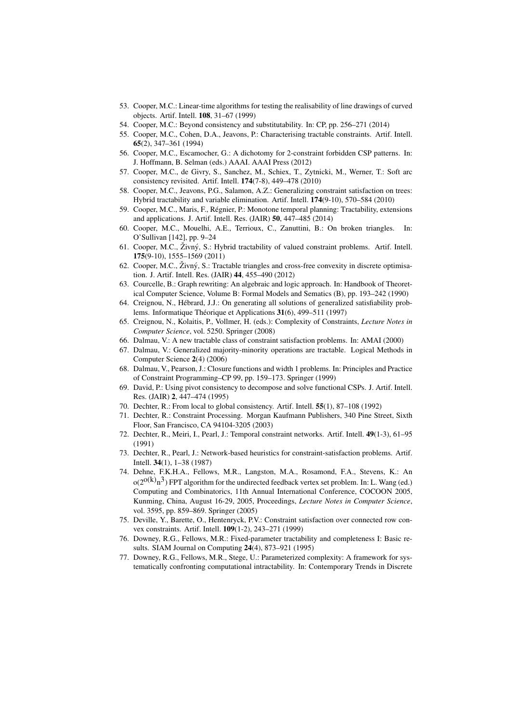- 53. Cooper, M.C.: Linear-time algorithms for testing the realisability of line drawings of curved objects. Artif. Intell. 108, 31–67 (1999)
- 54. Cooper, M.C.: Beyond consistency and substitutability. In: CP, pp. 256–271 (2014)
- 55. Cooper, M.C., Cohen, D.A., Jeavons, P.: Characterising tractable constraints. Artif. Intell. 65(2), 347–361 (1994)
- 56. Cooper, M.C., Escamocher, G.: A dichotomy for 2-constraint forbidden CSP patterns. In: J. Hoffmann, B. Selman (eds.) AAAI. AAAI Press (2012)
- 57. Cooper, M.C., de Givry, S., Sanchez, M., Schiex, T., Zytnicki, M., Werner, T.: Soft arc consistency revisited. Artif. Intell. 174(7-8), 449–478 (2010)
- 58. Cooper, M.C., Jeavons, P.G., Salamon, A.Z.: Generalizing constraint satisfaction on trees: Hybrid tractability and variable elimination. Artif. Intell. 174(9-10), 570–584 (2010)
- 59. Cooper, M.C., Maris, F., Regnier, P.: Monotone temporal planning: Tractability, extensions ´ and applications. J. Artif. Intell. Res. (JAIR) 50, 447–485 (2014)
- 60. Cooper, M.C., Mouelhi, A.E., Terrioux, C., Zanuttini, B.: On broken triangles. In: O'Sullivan [142], pp. 9–24
- 61. Cooper, M.C., Živný, S.: Hybrid tractability of valued constraint problems. Artif. Intell. 175(9-10), 1555–1569 (2011)
- 62. Cooper, M.C., Živný, S.: Tractable triangles and cross-free convexity in discrete optimisation. J. Artif. Intell. Res. (JAIR) 44, 455–490 (2012)
- 63. Courcelle, B.: Graph rewriting: An algebraic and logic approach. In: Handbook of Theoretical Computer Science, Volume B: Formal Models and Sematics (B), pp. 193–242 (1990)
- 64. Creignou, N., Hebrard, J.J.: On generating all solutions of generalized satisfiability prob- ´ lems. Informatique Théorique et Applications 31(6), 499–511 (1997)
- 65. Creignou, N., Kolaitis, P., Vollmer, H. (eds.): Complexity of Constraints, *Lecture Notes in Computer Science*, vol. 5250. Springer (2008)
- 66. Dalmau, V.: A new tractable class of constraint satisfaction problems. In: AMAI (2000)
- 67. Dalmau, V.: Generalized majority-minority operations are tractable. Logical Methods in Computer Science 2(4) (2006)
- 68. Dalmau, V., Pearson, J.: Closure functions and width 1 problems. In: Principles and Practice of Constraint Programming–CP 99, pp. 159–173. Springer (1999)
- 69. David, P.: Using pivot consistency to decompose and solve functional CSPs. J. Artif. Intell. Res. (JAIR) 2, 447–474 (1995)
- 70. Dechter, R.: From local to global consistency. Artif. Intell. 55(1), 87–108 (1992)
- 71. Dechter, R.: Constraint Processing. Morgan Kaufmann Publishers, 340 Pine Street, Sixth Floor, San Francisco, CA 94104-3205 (2003)
- 72. Dechter, R., Meiri, I., Pearl, J.: Temporal constraint networks. Artif. Intell. 49(1-3), 61–95 (1991)
- 73. Dechter, R., Pearl, J.: Network-based heuristics for constraint-satisfaction problems. Artif. Intell. 34(1), 1–38 (1987)
- 74. Dehne, F.K.H.A., Fellows, M.R., Langston, M.A., Rosamond, F.A., Stevens, K.: An  $\rm o(2^{O(k)}n^3)$  FPT algorithm for the undirected feedback vertex set problem. In: L. Wang (ed.) Computing and Combinatorics, 11th Annual International Conference, COCOON 2005, Kunming, China, August 16-29, 2005, Proceedings, *Lecture Notes in Computer Science*, vol. 3595, pp. 859–869. Springer (2005)
- 75. Deville, Y., Barette, O., Hentenryck, P.V.: Constraint satisfaction over connected row convex constraints. Artif. Intell. 109(1-2), 243–271 (1999)
- 76. Downey, R.G., Fellows, M.R.: Fixed-parameter tractability and completeness I: Basic results. SIAM Journal on Computing 24(4), 873–921 (1995)
- 77. Downey, R.G., Fellows, M.R., Stege, U.: Parameterized complexity: A framework for systematically confronting computational intractability. In: Contemporary Trends in Discrete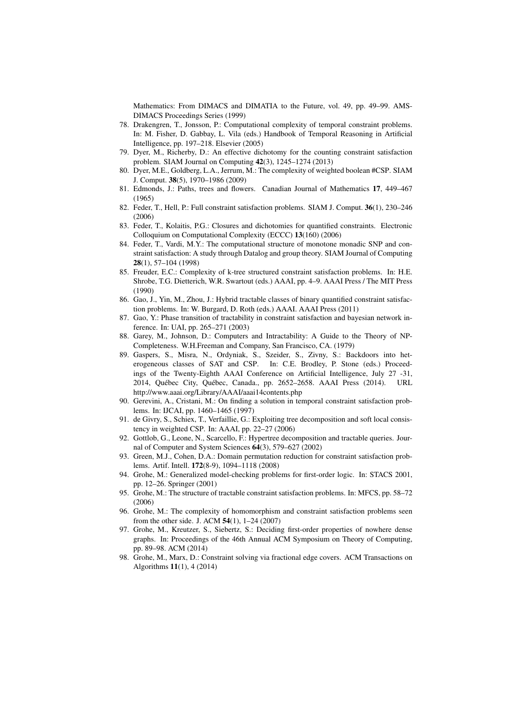Mathematics: From DIMACS and DIMATIA to the Future, vol. 49, pp. 49–99. AMS-DIMACS Proceedings Series (1999)

- 78. Drakengren, T., Jonsson, P.: Computational complexity of temporal constraint problems. In: M. Fisher, D. Gabbay, L. Vila (eds.) Handbook of Temporal Reasoning in Artificial Intelligence, pp. 197–218. Elsevier (2005)
- 79. Dyer, M., Richerby, D.: An effective dichotomy for the counting constraint satisfaction problem. SIAM Journal on Computing 42(3), 1245–1274 (2013)
- 80. Dyer, M.E., Goldberg, L.A., Jerrum, M.: The complexity of weighted boolean #CSP. SIAM J. Comput. 38(5), 1970–1986 (2009)
- 81. Edmonds, J.: Paths, trees and flowers. Canadian Journal of Mathematics 17, 449–467 (1965)
- 82. Feder, T., Hell, P.: Full constraint satisfaction problems. SIAM J. Comput. 36(1), 230–246 (2006)
- 83. Feder, T., Kolaitis, P.G.: Closures and dichotomies for quantified constraints. Electronic Colloquium on Computational Complexity (ECCC) 13(160) (2006)
- 84. Feder, T., Vardi, M.Y.: The computational structure of monotone monadic SNP and constraint satisfaction: A study through Datalog and group theory. SIAM Journal of Computing 28(1), 57–104 (1998)
- 85. Freuder, E.C.: Complexity of k-tree structured constraint satisfaction problems. In: H.E. Shrobe, T.G. Dietterich, W.R. Swartout (eds.) AAAI, pp. 4–9. AAAI Press / The MIT Press (1990)
- 86. Gao, J., Yin, M., Zhou, J.: Hybrid tractable classes of binary quantified constraint satisfaction problems. In: W. Burgard, D. Roth (eds.) AAAI. AAAI Press (2011)
- 87. Gao, Y.: Phase transition of tractability in constraint satisfaction and bayesian network inference. In: UAI, pp. 265–271 (2003)
- 88. Garey, M., Johnson, D.: Computers and Intractability: A Guide to the Theory of NP-Completeness. W.H.Freeman and Company, San Francisco, CA. (1979)
- 89. Gaspers, S., Misra, N., Ordyniak, S., Szeider, S., Zivny, S.: Backdoors into heterogeneous classes of SAT and CSP. In: C.E. Brodley, P. Stone (eds.) Proceedings of the Twenty-Eighth AAAI Conference on Artificial Intelligence, July 27 -31, 2014, Québec City, Québec, Canada., pp. 2652-2658. AAAI Press (2014). URL http://www.aaai.org/Library/AAAI/aaai14contents.php
- 90. Gerevini, A., Cristani, M.: On finding a solution in temporal constraint satisfaction problems. In: IJCAI, pp. 1460–1465 (1997)
- 91. de Givry, S., Schiex, T., Verfaillie, G.: Exploiting tree decomposition and soft local consistency in weighted CSP. In: AAAI, pp. 22–27 (2006)
- 92. Gottlob, G., Leone, N., Scarcello, F.: Hypertree decomposition and tractable queries. Journal of Computer and System Sciences 64(3), 579–627 (2002)
- 93. Green, M.J., Cohen, D.A.: Domain permutation reduction for constraint satisfaction problems. Artif. Intell. 172(8-9), 1094–1118 (2008)
- 94. Grohe, M.: Generalized model-checking problems for first-order logic. In: STACS 2001, pp. 12–26. Springer (2001)
- 95. Grohe, M.: The structure of tractable constraint satisfaction problems. In: MFCS, pp. 58–72 (2006)
- 96. Grohe, M.: The complexity of homomorphism and constraint satisfaction problems seen from the other side. J. ACM 54(1), 1–24 (2007)
- 97. Grohe, M., Kreutzer, S., Siebertz, S.: Deciding first-order properties of nowhere dense graphs. In: Proceedings of the 46th Annual ACM Symposium on Theory of Computing, pp. 89–98. ACM (2014)
- 98. Grohe, M., Marx, D.: Constraint solving via fractional edge covers. ACM Transactions on Algorithms 11(1), 4 (2014)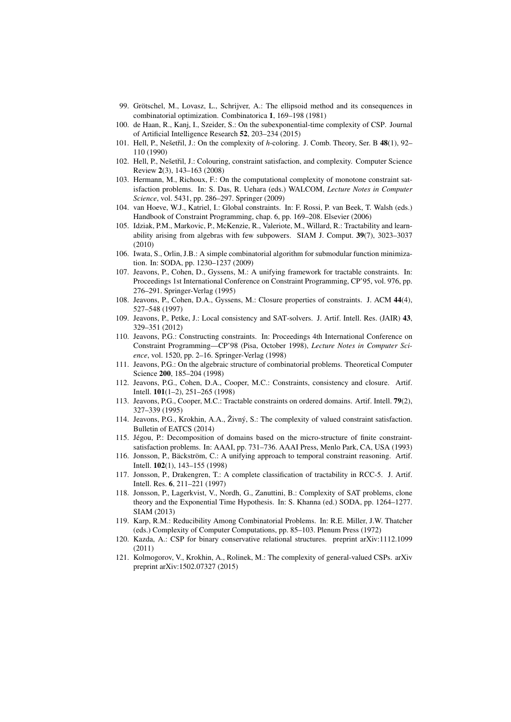- 99. Grötschel, M., Lovasz, L., Schrijver, A.: The ellipsoid method and its consequences in combinatorial optimization. Combinatorica 1, 169–198 (1981)
- 100. de Haan, R., Kanj, I., Szeider, S.: On the subexponential-time complexity of CSP. Journal of Artificial Intelligence Research 52, 203–234 (2015)
- 101. Hell, P., Nešetřil, J.: On the complexity of *h*-coloring. J. Comb. Theory, Ser. B 48(1), 92– 110 (1990)
- 102. Hell, P., Nešetřil, J.: Colouring, constraint satisfaction, and complexity. Computer Science Review 2(3), 143–163 (2008)
- 103. Hermann, M., Richoux, F.: On the computational complexity of monotone constraint satisfaction problems. In: S. Das, R. Uehara (eds.) WALCOM, *Lecture Notes in Computer Science*, vol. 5431, pp. 286–297. Springer (2009)
- 104. van Hoeve, W.J., Katriel, I.: Global constraints. In: F. Rossi, P. van Beek, T. Walsh (eds.) Handbook of Constraint Programming, chap. 6, pp. 169–208. Elsevier (2006)
- 105. Idziak, P.M., Markovic, P., McKenzie, R., Valeriote, M., Willard, R.: Tractability and learnability arising from algebras with few subpowers. SIAM J. Comput. 39(7), 3023–3037 (2010)
- 106. Iwata, S., Orlin, J.B.: A simple combinatorial algorithm for submodular function minimization. In: SODA, pp. 1230–1237 (2009)
- 107. Jeavons, P., Cohen, D., Gyssens, M.: A unifying framework for tractable constraints. In: Proceedings 1st International Conference on Constraint Programming, CP'95, vol. 976, pp. 276–291. Springer-Verlag (1995)
- 108. Jeavons, P., Cohen, D.A., Gyssens, M.: Closure properties of constraints. J. ACM 44(4), 527–548 (1997)
- 109. Jeavons, P., Petke, J.: Local consistency and SAT-solvers. J. Artif. Intell. Res. (JAIR) 43, 329–351 (2012)
- 110. Jeavons, P.G.: Constructing constraints. In: Proceedings 4th International Conference on Constraint Programming—CP'98 (Pisa, October 1998), *Lecture Notes in Computer Science*, vol. 1520, pp. 2–16. Springer-Verlag (1998)
- 111. Jeavons, P.G.: On the algebraic structure of combinatorial problems. Theoretical Computer Science 200, 185–204 (1998)
- 112. Jeavons, P.G., Cohen, D.A., Cooper, M.C.: Constraints, consistency and closure. Artif. Intell. 101(1–2), 251–265 (1998)
- 113. Jeavons, P.G., Cooper, M.C.: Tractable constraints on ordered domains. Artif. Intell. 79(2), 327–339 (1995)
- 114. Jeavons, P.G., Krokhin, A.A., Živný, S.: The complexity of valued constraint satisfaction. Bulletin of EATCS (2014)
- 115. Jégou, P.: Decomposition of domains based on the micro-structure of finite constraintsatisfaction problems. In: AAAI, pp. 731–736. AAAI Press, Menlo Park, CA, USA (1993)
- 116. Jonsson, P., Bäckström, C.: A unifying approach to temporal constraint reasoning. Artif. Intell. 102(1), 143–155 (1998)
- 117. Jonsson, P., Drakengren, T.: A complete classification of tractability in RCC-5. J. Artif. Intell. Res. 6, 211–221 (1997)
- 118. Jonsson, P., Lagerkvist, V., Nordh, G., Zanuttini, B.: Complexity of SAT problems, clone theory and the Exponential Time Hypothesis. In: S. Khanna (ed.) SODA, pp. 1264–1277. SIAM (2013)
- 119. Karp, R.M.: Reducibility Among Combinatorial Problems. In: R.E. Miller, J.W. Thatcher (eds.) Complexity of Computer Computations, pp. 85–103. Plenum Press (1972)
- 120. Kazda, A.: CSP for binary conservative relational structures. preprint arXiv:1112.1099 (2011)
- 121. Kolmogorov, V., Krokhin, A., Rolinek, M.: The complexity of general-valued CSPs. arXiv preprint arXiv:1502.07327 (2015)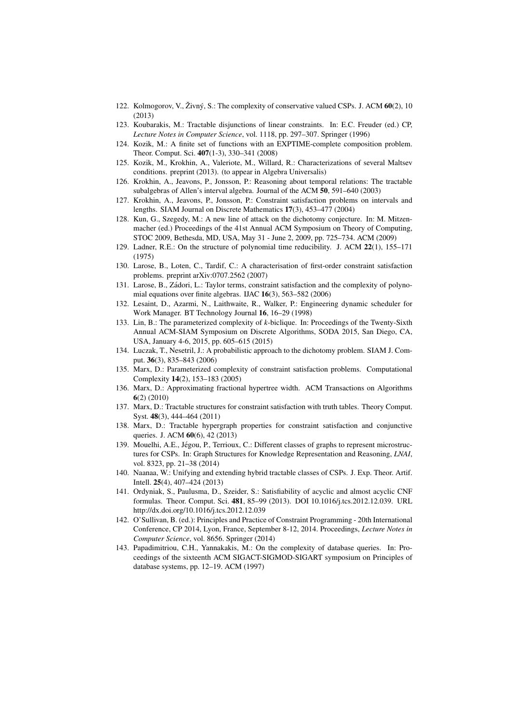- 122. Kolmogorov, V., Živný, S.: The complexity of conservative valued CSPs. J. ACM  $60(2)$ , 10 (2013)
- 123. Koubarakis, M.: Tractable disjunctions of linear constraints. In: E.C. Freuder (ed.) CP, *Lecture Notes in Computer Science*, vol. 1118, pp. 297–307. Springer (1996)
- 124. Kozik, M.: A finite set of functions with an EXPTIME-complete composition problem. Theor. Comput. Sci. 407(1-3), 330–341 (2008)
- 125. Kozik, M., Krokhin, A., Valeriote, M., Willard, R.: Characterizations of several Maltsev conditions. preprint (2013). (to appear in Algebra Universalis)
- 126. Krokhin, A., Jeavons, P., Jonsson, P.: Reasoning about temporal relations: The tractable subalgebras of Allen's interval algebra. Journal of the ACM 50, 591–640 (2003)
- 127. Krokhin, A., Jeavons, P., Jonsson, P.: Constraint satisfaction problems on intervals and lengths. SIAM Journal on Discrete Mathematics 17(3), 453–477 (2004)
- 128. Kun, G., Szegedy, M.: A new line of attack on the dichotomy conjecture. In: M. Mitzenmacher (ed.) Proceedings of the 41st Annual ACM Symposium on Theory of Computing, STOC 2009, Bethesda, MD, USA, May 31 - June 2, 2009, pp. 725–734. ACM (2009)
- 129. Ladner, R.E.: On the structure of polynomial time reducibility. J. ACM 22(1), 155–171 (1975)
- 130. Larose, B., Loten, C., Tardif, C.: A characterisation of first-order constraint satisfaction problems. preprint arXiv:0707.2562 (2007)
- 131. Larose, B., Zadori, L.: Taylor terms, constraint satisfaction and the complexity of polyno- ´ mial equations over finite algebras. IJAC 16(3), 563–582 (2006)
- 132. Lesaint, D., Azarmi, N., Laithwaite, R., Walker, P.: Engineering dynamic scheduler for Work Manager. BT Technology Journal 16, 16–29 (1998)
- 133. Lin, B.: The parameterized complexity of *k*-biclique. In: Proceedings of the Twenty-Sixth Annual ACM-SIAM Symposium on Discrete Algorithms, SODA 2015, San Diego, CA, USA, January 4-6, 2015, pp. 605–615 (2015)
- 134. Luczak, T., Nesetril, J.: A probabilistic approach to the dichotomy problem. SIAM J. Comput. 36(3), 835–843 (2006)
- 135. Marx, D.: Parameterized complexity of constraint satisfaction problems. Computational Complexity 14(2), 153–183 (2005)
- 136. Marx, D.: Approximating fractional hypertree width. ACM Transactions on Algorithms 6(2) (2010)
- 137. Marx, D.: Tractable structures for constraint satisfaction with truth tables. Theory Comput. Syst. 48(3), 444–464 (2011)
- 138. Marx, D.: Tractable hypergraph properties for constraint satisfaction and conjunctive queries. J. ACM 60(6), 42 (2013)
- 139. Mouelhi, A.E., Jégou, P., Terrioux, C.: Different classes of graphs to represent microstructures for CSPs. In: Graph Structures for Knowledge Representation and Reasoning, *LNAI*, vol. 8323, pp. 21–38 (2014)
- 140. Naanaa, W.: Unifying and extending hybrid tractable classes of CSPs. J. Exp. Theor. Artif. Intell. 25(4), 407–424 (2013)
- 141. Ordyniak, S., Paulusma, D., Szeider, S.: Satisfiability of acyclic and almost acyclic CNF formulas. Theor. Comput. Sci. 481, 85–99 (2013). DOI 10.1016/j.tcs.2012.12.039. URL http://dx.doi.org/10.1016/j.tcs.2012.12.039
- 142. O'Sullivan, B. (ed.): Principles and Practice of Constraint Programming 20th International Conference, CP 2014, Lyon, France, September 8-12, 2014. Proceedings, *Lecture Notes in Computer Science*, vol. 8656. Springer (2014)
- 143. Papadimitriou, C.H., Yannakakis, M.: On the complexity of database queries. In: Proceedings of the sixteenth ACM SIGACT-SIGMOD-SIGART symposium on Principles of database systems, pp. 12–19. ACM (1997)